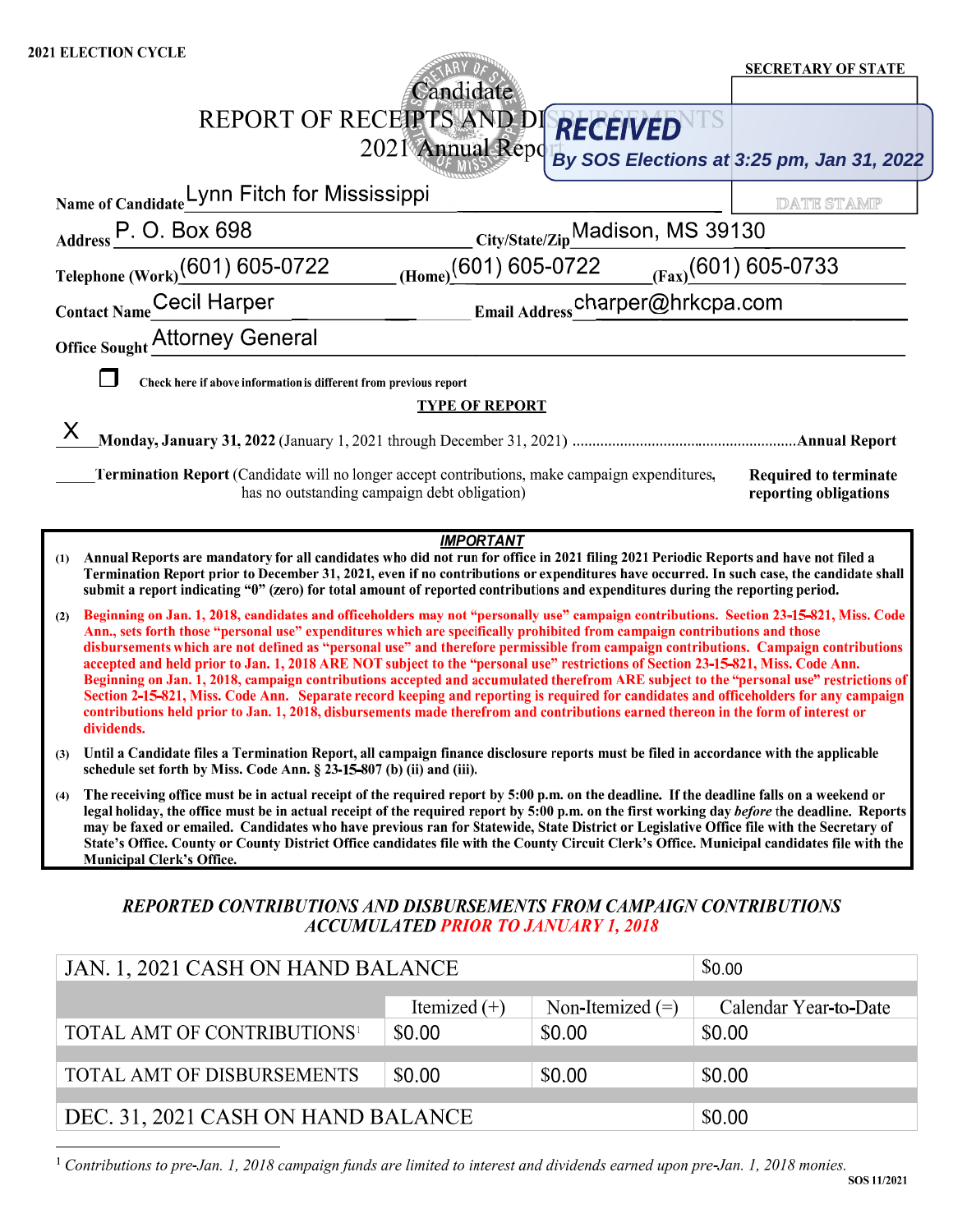| <b>2021 ELECTION CYCLE</b>                                                                                                                                                                                                                                                                                                                                                                                                                                                                                                                                                                                                                                                                                                                                                                                                                                                                                                                                                                    |                                              |                                              |        |                                                              |
|-----------------------------------------------------------------------------------------------------------------------------------------------------------------------------------------------------------------------------------------------------------------------------------------------------------------------------------------------------------------------------------------------------------------------------------------------------------------------------------------------------------------------------------------------------------------------------------------------------------------------------------------------------------------------------------------------------------------------------------------------------------------------------------------------------------------------------------------------------------------------------------------------------------------------------------------------------------------------------------------------|----------------------------------------------|----------------------------------------------|--------|--------------------------------------------------------------|
|                                                                                                                                                                                                                                                                                                                                                                                                                                                                                                                                                                                                                                                                                                                                                                                                                                                                                                                                                                                               | Candidate                                    |                                              |        | <b>SECRETARY OF STATE</b>                                    |
| REPORT OF RECEIPTS AND DI RECEIVED                                                                                                                                                                                                                                                                                                                                                                                                                                                                                                                                                                                                                                                                                                                                                                                                                                                                                                                                                            |                                              |                                              |        |                                                              |
|                                                                                                                                                                                                                                                                                                                                                                                                                                                                                                                                                                                                                                                                                                                                                                                                                                                                                                                                                                                               |                                              |                                              |        | 2021 Annual Report By SOS Elections at 3:25 pm, Jan 31, 2022 |
| Name of Candidate_ynn Fitch for Mississippi                                                                                                                                                                                                                                                                                                                                                                                                                                                                                                                                                                                                                                                                                                                                                                                                                                                                                                                                                   |                                              |                                              |        | <b>DATE STAMP</b>                                            |
| Address P. O. Box 698                                                                                                                                                                                                                                                                                                                                                                                                                                                                                                                                                                                                                                                                                                                                                                                                                                                                                                                                                                         |                                              | City/State/ZipMadison, MS 39130              |        |                                                              |
| Telephone (Work)(601) 605-0722                                                                                                                                                                                                                                                                                                                                                                                                                                                                                                                                                                                                                                                                                                                                                                                                                                                                                                                                                                |                                              | $(Home)$ (601) 605-0722 (Fax) (601) 605-0733 |        |                                                              |
| Contact Name Cecil Harper                                                                                                                                                                                                                                                                                                                                                                                                                                                                                                                                                                                                                                                                                                                                                                                                                                                                                                                                                                     |                                              | Email Address_charper@hrkcpa.com             |        |                                                              |
| Office Sought Attorney General                                                                                                                                                                                                                                                                                                                                                                                                                                                                                                                                                                                                                                                                                                                                                                                                                                                                                                                                                                |                                              |                                              |        |                                                              |
| Check here if above information is different from previous report                                                                                                                                                                                                                                                                                                                                                                                                                                                                                                                                                                                                                                                                                                                                                                                                                                                                                                                             |                                              |                                              |        |                                                              |
|                                                                                                                                                                                                                                                                                                                                                                                                                                                                                                                                                                                                                                                                                                                                                                                                                                                                                                                                                                                               | <b>TYPE OF REPORT</b>                        |                                              |        |                                                              |
|                                                                                                                                                                                                                                                                                                                                                                                                                                                                                                                                                                                                                                                                                                                                                                                                                                                                                                                                                                                               |                                              |                                              |        |                                                              |
| <b>Termination Report</b> (Candidate will no longer accept contributions, make campaign expenditures,                                                                                                                                                                                                                                                                                                                                                                                                                                                                                                                                                                                                                                                                                                                                                                                                                                                                                         | has no outstanding campaign debt obligation) |                                              |        | <b>Required to terminate</b><br>reporting obligations        |
|                                                                                                                                                                                                                                                                                                                                                                                                                                                                                                                                                                                                                                                                                                                                                                                                                                                                                                                                                                                               | <b>IMPORTANT</b>                             |                                              |        |                                                              |
| Annual Reports are mandatory for all candidates who did not run for office in 2021 filing 2021 Periodic Reports and have not filed a<br>(1)<br>Termination Report prior to December 31, 2021, even if no contributions or expenditures have occurred. In such case, the candidate shall<br>submit a report indicating "0" (zero) for total amount of reported contributions and expenditures during the reporting period.                                                                                                                                                                                                                                                                                                                                                                                                                                                                                                                                                                     |                                              |                                              |        |                                                              |
| Beginning on Jan. 1, 2018, candidates and officeholders may not "personally use" campaign contributions. Section 23-15-821, Miss. Code<br>(2)<br>Ann., sets forth those "personal use" expenditures which are specifically prohibited from campaign contributions and those<br>disbursements which are not defined as "personal use" and therefore permissible from campaign contributions. Campaign contributions<br>accepted and held prior to Jan. 1, 2018 ARE NOT subject to the "personal use" restrictions of Section 23-15-821, Miss. Code Ann.<br>Beginning on Jan. 1, 2018, campaign contributions accepted and accumulated therefrom ARE subject to the "personal use" restrictions of<br>Section 2-15-821, Miss. Code Ann. Separate record keeping and reporting is required for candidates and officeholders for any campaign<br>contributions held prior to Jan. 1, 2018, disbursements made therefrom and contributions earned thereon in the form of interest or<br>dividends. |                                              |                                              |        |                                                              |
| Until a Candidate files a Termination Report, all campaign finance disclosure reports must be filed in accordance with the applicable<br>(3)<br>schedule set forth by Miss. Code Ann. § 23-15-807 (b) (ii) and (iii).                                                                                                                                                                                                                                                                                                                                                                                                                                                                                                                                                                                                                                                                                                                                                                         |                                              |                                              |        |                                                              |
| The receiving office must be in actual receipt of the required report by 5:00 p.m. on the deadline. If the deadline falls on a weekend or<br>(4)<br>legal holiday, the office must be in actual receipt of the required report by 5:00 p.m. on the first working day before the deadline. Reports<br>may be faxed or emailed. Candidates who have previous ran for Statewide, State District or Legislative Office file with the Secretary of<br>State's Office. County or County District Office candidates file with the County Circuit Clerk's Office. Municipal candidates file with the<br><b>Municipal Clerk's Office.</b>                                                                                                                                                                                                                                                                                                                                                              |                                              |                                              |        |                                                              |
| REPORTED CONTRIBUTIONS AND DISBURSEMENTS FROM CAMPAIGN CONTRIBUTIONS                                                                                                                                                                                                                                                                                                                                                                                                                                                                                                                                                                                                                                                                                                                                                                                                                                                                                                                          | <b>ACCUMULATED PRIOR TO JANUARY 1, 2018</b>  |                                              |        |                                                              |
| JAN. 1, 2021 CASH ON HAND BALANCE                                                                                                                                                                                                                                                                                                                                                                                                                                                                                                                                                                                                                                                                                                                                                                                                                                                                                                                                                             |                                              |                                              | \$0.00 |                                                              |
|                                                                                                                                                                                                                                                                                                                                                                                                                                                                                                                                                                                                                                                                                                                                                                                                                                                                                                                                                                                               | Itemized $(+)$                               | Non-Itemized $(=)$                           |        | Calendar Year-to-Date                                        |
| TOTAL AMT OF CONTRIBUTIONS <sup>1</sup>                                                                                                                                                                                                                                                                                                                                                                                                                                                                                                                                                                                                                                                                                                                                                                                                                                                                                                                                                       | \$0.00                                       | \$0.00                                       | \$0.00 |                                                              |

| DEC. 31, 2021 CASH ON HAND BALANCE | \$0.00 |
|------------------------------------|--------|
|                                    |        |

\$0.00

TOTAL AMT OF DISBURSEMENTS

<sup>1</sup> Contributions to pre-Jan. 1, 2018 campaign funds are limited to interest and dividends earned upon pre-Jan. 1, 2018 monies.

\$0.00

\$0.00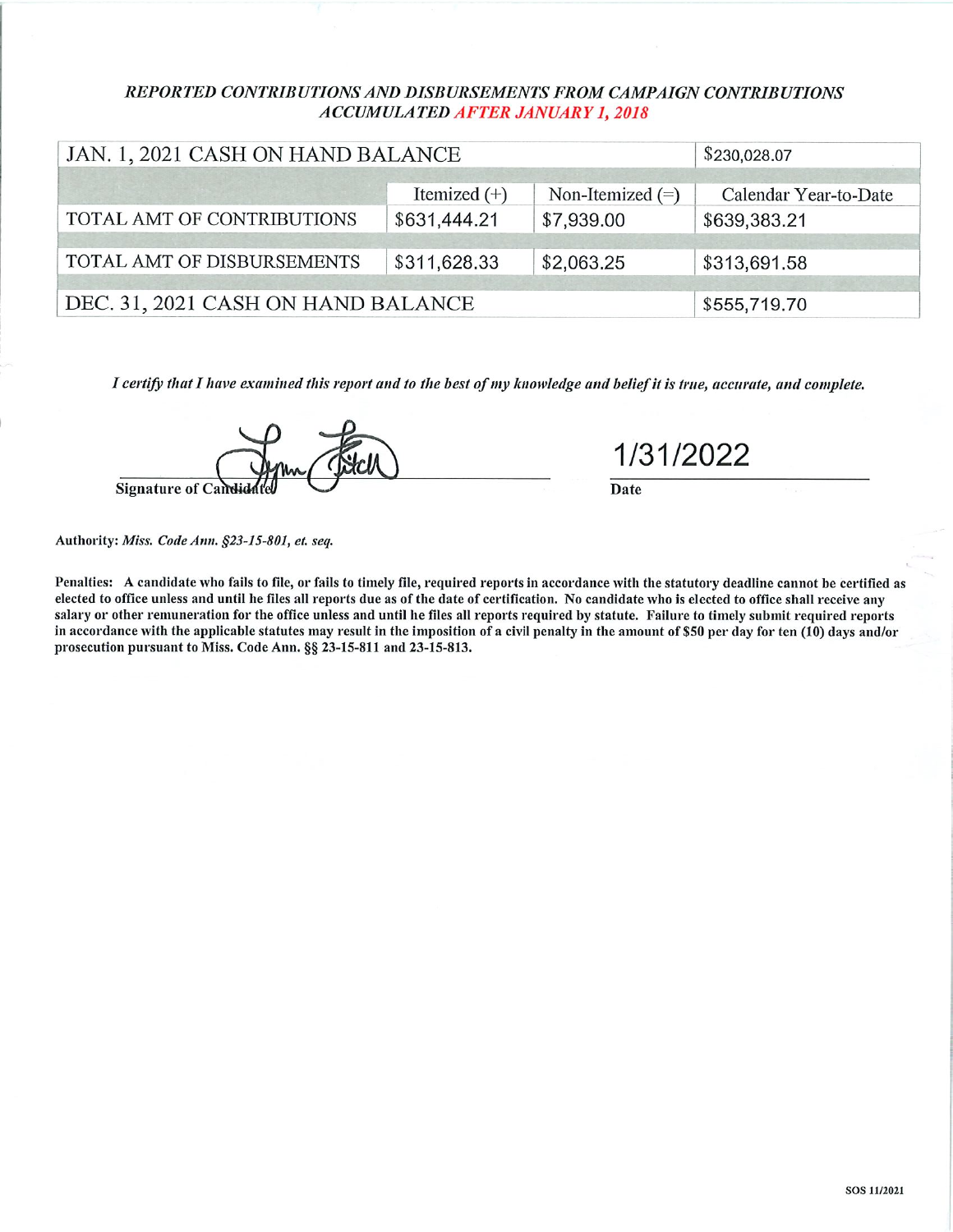## REPORTED CONTRIBUTIONS AND DISBURSEMENTS FROM CAMPAIGN CONTRIBUTIONS **ACCUMULATED AFTER JANUARY 1, 2018**

| JAN. 1, 2021 CASH ON HAND BALANCE  |                | \$230,028.07       |                       |
|------------------------------------|----------------|--------------------|-----------------------|
|                                    | Itemized $(+)$ | Non-Itemized $(=)$ | Calendar Year-to-Date |
| TOTAL AMT OF CONTRIBUTIONS         | \$639,383.21   |                    |                       |
| TOTAL AMT OF DISBURSEMENTS         | \$311,628.33   | \$2,063.25         | \$313,691.58          |
| DEC. 31, 2021 CASH ON HAND BALANCE |                |                    | \$555,719.70          |

I certify that I have examined this report and to the best of my knowledge and belief it is true, accurate, and complete.



1/31/2022

Date

Authority: Miss. Code Ann. §23-15-801, et. seq.

Penalties: A candidate who fails to file, or fails to timely file, required reports in accordance with the statutory deadline cannot be certified as elected to office unless and until he files all reports due as of the date of certification. No candidate who is elected to office shall receive any salary or other remuneration for the office unless and until he files all reports required by statute. Failure to timely submit required reports in accordance with the applicable statutes may result in the imposition of a civil penalty in the amount of \$50 per day for ten (10) days and/or prosecution pursuant to Miss. Code Ann. §§ 23-15-811 and 23-15-813.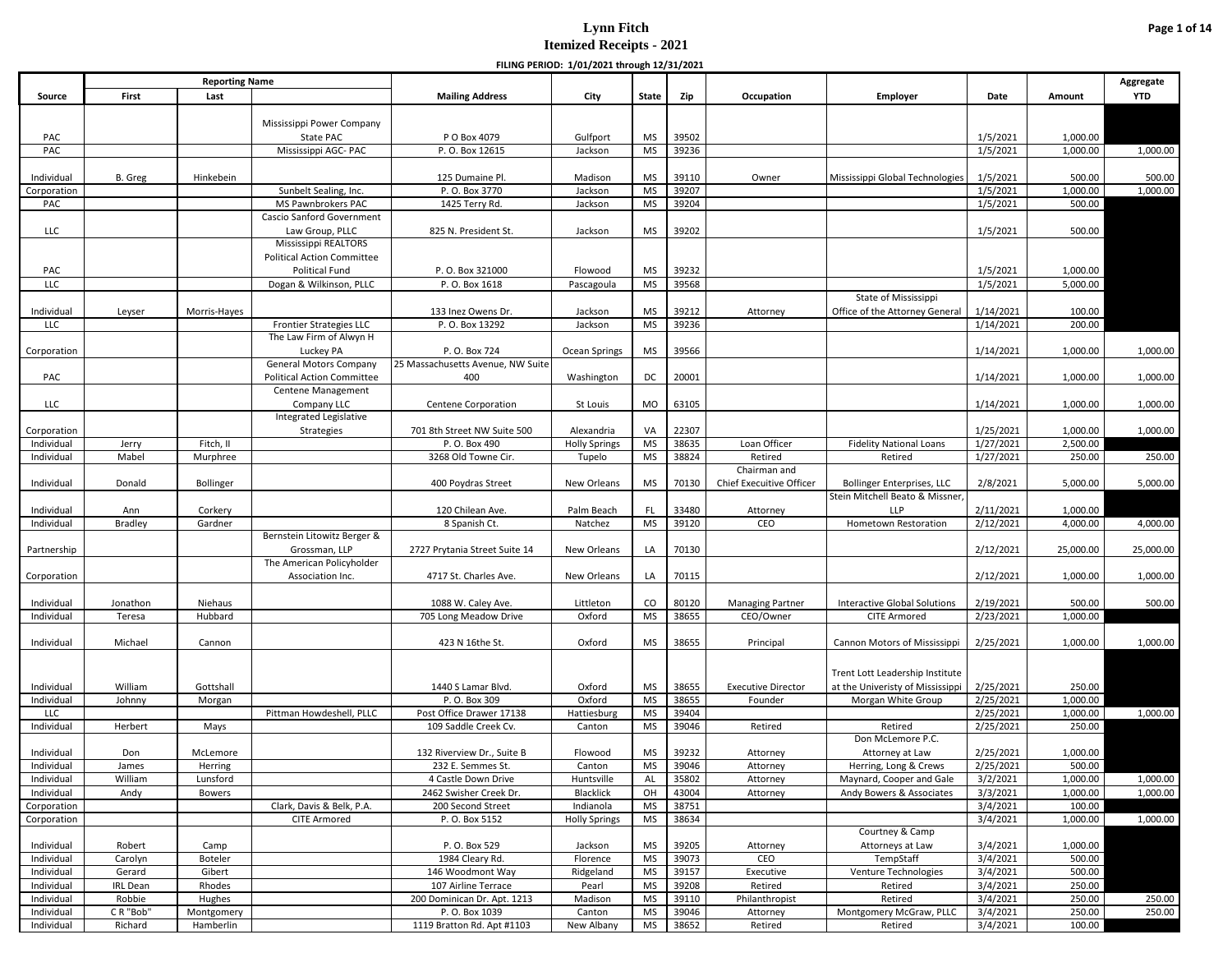|                           |                 |                       |                                            |                                                   | FILING PERIOD: 1/01/2021 through 12/31/2021 |                 |                |                           |                                          |                        |                    |            |
|---------------------------|-----------------|-----------------------|--------------------------------------------|---------------------------------------------------|---------------------------------------------|-----------------|----------------|---------------------------|------------------------------------------|------------------------|--------------------|------------|
|                           |                 | <b>Reporting Name</b> |                                            |                                                   |                                             |                 |                |                           |                                          |                        |                    | Aggregate  |
| Source                    | First           | Last                  |                                            | <b>Mailing Address</b>                            | City                                        | State           | Zip            | Occupation                | <b>Employer</b>                          | Date                   | Amount             | <b>YTD</b> |
|                           |                 |                       |                                            |                                                   |                                             |                 |                |                           |                                          |                        |                    |            |
|                           |                 |                       | Mississippi Power Company                  |                                                   |                                             |                 |                |                           |                                          |                        |                    |            |
| PAC                       |                 |                       | State PAC                                  | P O Box 4079                                      | Gulfport                                    | MS              | 39502          |                           |                                          | 1/5/2021               | 1,000.00           |            |
| PAC                       |                 |                       | Mississippi AGC- PAC                       | P.O. Box 12615                                    | Jackson                                     | <b>MS</b>       | 39236          |                           |                                          | 1/5/2021               | 1,000.00           | 1,000.00   |
|                           | B. Greg         | Hinkebein             |                                            | 125 Dumaine Pl.                                   | Madison                                     | <b>MS</b>       | 39110          | Owner                     |                                          | 1/5/2021               | 500.00             | 500.00     |
| Individual<br>Corporation |                 |                       | Sunbelt Sealing, Inc.                      | P.O. Box 3770                                     | Jackson                                     | <b>MS</b>       | 39207          |                           | Mississippi Global Technologies          | 1/5/2021               | 1,000.00           | 1,000.00   |
| PAC                       |                 |                       | MS Pawnbrokers PAC                         | 1425 Terry Rd.                                    | Jackson                                     | <b>MS</b>       | 39204          |                           |                                          | 1/5/2021               | 500.00             |            |
|                           |                 |                       | Cascio Sanford Government                  |                                                   |                                             |                 |                |                           |                                          |                        |                    |            |
| LLC                       |                 |                       | Law Group, PLLC                            | 825 N. President St.                              | Jackson                                     | <b>MS</b>       | 39202          |                           |                                          | 1/5/2021               | 500.00             |            |
|                           |                 |                       | Mississippi REALTORS                       |                                                   |                                             |                 |                |                           |                                          |                        |                    |            |
|                           |                 |                       | <b>Political Action Committee</b>          |                                                   |                                             |                 |                |                           |                                          |                        |                    |            |
| PAC                       |                 |                       | <b>Political Fund</b>                      | P.O. Box 321000                                   | Flowood                                     | <b>MS</b>       | 39232          |                           |                                          | 1/5/2021               | 1,000.00           |            |
| <b>LLC</b>                |                 |                       | Dogan & Wilkinson, PLLC                    | P.O. Box 1618                                     | Pascagoula                                  | <b>MS</b>       | 39568          |                           |                                          | 1/5/2021               | 5,000.00           |            |
|                           |                 |                       |                                            |                                                   |                                             |                 |                |                           | State of Mississippi                     |                        |                    |            |
| Individual                | Leyser          | Morris-Hayes          |                                            | 133 Inez Owens Dr.                                | Jackson                                     | <b>MS</b>       | 39212          | Attorney                  | Office of the Attorney General           | 1/14/2021              | 100.00             |            |
| LLC                       |                 |                       | <b>Frontier Strategies LLC</b>             | P.O. Box 13292                                    | Jackson                                     | <b>MS</b>       | 39236          |                           |                                          | 1/14/2021              | 200.00             |            |
|                           |                 |                       | The Law Firm of Alwyn H                    |                                                   |                                             |                 |                |                           |                                          |                        |                    |            |
| Corporation               |                 |                       | Luckey PA<br><b>General Motors Company</b> | P.O. Box 724<br>25 Massachusetts Avenue, NW Suite | Ocean Springs                               | MS              | 39566          |                           |                                          | 1/14/2021              | 1,000.00           | 1,000.00   |
| PAC                       |                 |                       | <b>Political Action Committee</b>          | 400                                               | Washington                                  | DC              | 20001          |                           |                                          | 1/14/2021              | 1,000.00           | 1,000.00   |
|                           |                 |                       | Centene Management                         |                                                   |                                             |                 |                |                           |                                          |                        |                    |            |
| LLC                       |                 |                       | Company LLC                                | Centene Corporation                               | St Louis                                    | <b>MO</b>       | 63105          |                           |                                          | 1/14/2021              | 1,000.00           | 1,000.00   |
|                           |                 |                       | Integrated Legislative                     |                                                   |                                             |                 |                |                           |                                          |                        |                    |            |
| Corporation               |                 |                       | Strategies                                 | 701 8th Street NW Suite 500                       | Alexandria                                  | VA              | 22307          |                           |                                          | 1/25/2021              | 1,000.00           | 1,000.00   |
| Individual                | Jerry           | Fitch, II             |                                            | P. O. Box 490                                     | <b>Holly Springs</b>                        | <b>MS</b>       | 38635          | Loan Officer              | <b>Fidelity National Loans</b>           | 1/27/2021              | 2,500.00           |            |
| Individual                | Mabel           | Murphree              |                                            | 3268 Old Towne Cir.                               | Tupelo                                      | <b>MS</b>       | 38824          | Retired                   | Retired                                  | 1/27/2021              | 250.00             | 250.00     |
|                           |                 |                       |                                            |                                                   |                                             |                 |                | Chairman and              |                                          |                        |                    |            |
| Individual                | Donald          | <b>Bollinger</b>      |                                            | 400 Poydras Street                                | New Orleans                                 | <b>MS</b>       | 70130          | Chief Execuitive Officer  | <b>Bollinger Enterprises, LLC</b>        | 2/8/2021               | 5,000.00           | 5,000.00   |
|                           |                 |                       |                                            |                                                   |                                             |                 |                |                           | Stein Mitchell Beato & Missner,          |                        |                    |            |
| Individual                | Ann             | Corkery               |                                            | 120 Chilean Ave.                                  | Palm Beach                                  | FL              | 33480          | Attorney                  | <b>LLP</b>                               | 2/11/2021              | 1,000.00           |            |
| Individual                | <b>Bradley</b>  | Gardner               | Bernstein Litowitz Berger &                | 8 Spanish Ct.                                     | Natchez                                     | <b>MS</b>       | 39120          | CEO                       | Hometown Restoration                     | 2/12/2021              | 4,000.00           | 4,000.00   |
| Partnership               |                 |                       | Grossman, LLP                              | 2727 Prytania Street Suite 14                     | New Orleans                                 | LA              | 70130          |                           |                                          | 2/12/2021              | 25,000.00          | 25,000.00  |
|                           |                 |                       | The American Policyholder                  |                                                   |                                             |                 |                |                           |                                          |                        |                    |            |
| Corporation               |                 |                       | Association Inc.                           | 4717 St. Charles Ave.                             | New Orleans                                 | LA              | 70115          |                           |                                          | 2/12/2021              | 1,000.00           | 1,000.00   |
|                           |                 |                       |                                            |                                                   |                                             |                 |                |                           |                                          |                        |                    |            |
| Individual                | Jonathon        | Niehaus               |                                            | 1088 W. Caley Ave.                                | Littleton                                   | CO              | 80120          | <b>Managing Partner</b>   | Interactive Global Solutions             | 2/19/2021              | 500.00             | 500.00     |
| Individual                | Teresa          | Hubbard               |                                            | 705 Long Meadow Drive                             | Oxford                                      | <b>MS</b>       | 38655          | CEO/Owner                 | <b>CITE Armored</b>                      | 2/23/2021              | 1,000.00           |            |
|                           |                 |                       |                                            |                                                   |                                             |                 |                |                           |                                          |                        |                    |            |
| Individual                | Michael         | Cannon                |                                            | 423 N 16the St.                                   | Oxford                                      | MS              | 38655          | Principal                 | Cannon Motors of Mississippi             | 2/25/2021              | 1,000.00           | 1,000.00   |
|                           |                 |                       |                                            |                                                   |                                             |                 |                |                           |                                          |                        |                    |            |
|                           |                 |                       |                                            |                                                   |                                             |                 |                |                           | Trent Lott Leadership Institute          |                        |                    |            |
| Individual                | William         | Gottshall             |                                            | 1440 S Lamar Blvd.                                | Oxford                                      | <b>MS</b>       | 38655          | <b>Executive Director</b> | at the Univeristy of Mississippi         | 2/25/2021              | 250.00             |            |
| Individual                | Johnny          | Morgan                |                                            | P. O. Box 309                                     | Oxford                                      | <b>MS</b>       | 38655          | Founder                   | Morgan White Group                       | 2/25/2021              | 1,000.00           |            |
| LLC                       |                 |                       | Pittman Howdeshell, PLLC                   | Post Office Drawer 17138                          | Hattiesburg                                 | <b>MS</b>       | 39404          |                           |                                          | 2/25/2021              | 1,000.00           | 1,000.00   |
| Individual                | Herbert         | Mays                  |                                            | 109 Saddle Creek Cv.                              | Canton                                      | <b>MS</b>       | 39046          | Retired                   | Retired                                  | 2/25/2021              | 250.00             |            |
|                           |                 |                       |                                            | 132 Riverview Dr., Suite B                        |                                             |                 |                |                           | Don McLemore P.C.                        |                        |                    |            |
| Individual<br>Individual  | Don<br>James    | McLemore<br>Herring   |                                            | 232 E. Semmes St.                                 | Flowood<br>Canton                           | MS<br><b>MS</b> | 39232<br>39046 | Attornev                  | Attorney at Law<br>Herring, Long & Crews | 2/25/2021<br>2/25/2021 | 1,000.00<br>500.00 |            |
| Individual                | William         | Lunsford              |                                            | 4 Castle Down Drive                               | Huntsville                                  | AL              | 35802          | Attorney<br>Attorney      | Maynard, Cooper and Gale                 | 3/2/2021               | 1,000.00           | 1,000.00   |
| Individual                | Andy            | <b>Bowers</b>         |                                            | 2462 Swisher Creek Dr.                            | Blacklick                                   | OH              | 43004          | Attorney                  | Andy Bowers & Associates                 | 3/3/2021               | 1,000.00           | 1,000.00   |
| Corporation               |                 |                       | Clark, Davis & Belk, P.A.                  | 200 Second Street                                 | Indianola                                   | <b>MS</b>       | 38751          |                           |                                          | 3/4/2021               | 100.00             |            |
| Corporation               |                 |                       | <b>CITE Armored</b>                        | P.O. Box 5152                                     | <b>Holly Springs</b>                        | <b>MS</b>       | 38634          |                           |                                          | 3/4/2021               | 1,000.00           | 1,000.00   |
|                           |                 |                       |                                            |                                                   |                                             |                 |                |                           | Courtney & Camp                          |                        |                    |            |
| Individual                | Robert          | Camp                  |                                            | P.O. Box 529                                      | Jackson                                     | <b>MS</b>       | 39205          | Attorney                  | Attorneys at Law                         | 3/4/2021               | 1,000.00           |            |
| Individual                | Carolyn         | Boteler               |                                            | 1984 Cleary Rd.                                   | Florence                                    | <b>MS</b>       | 39073          | CEO                       | TempStaff                                | 3/4/2021               | 500.00             |            |
| Individual                | Gerard          | Gibert                |                                            | 146 Woodmont Way                                  | Ridgeland                                   | <b>MS</b>       | 39157          | Executive                 | Venture Technologies                     | 3/4/2021               | 500.00             |            |
| Individual                | <b>IRL</b> Dean | Rhodes                |                                            | 107 Airline Terrace                               | Pearl                                       | <b>MS</b>       | 39208          | Retired                   | Retired                                  | 3/4/2021               | 250.00             |            |
| Individual                | Robbie          | Hughes                |                                            | 200 Dominican Dr. Apt. 1213                       | Madison                                     | <b>MS</b>       | 39110          | Philanthropist            | Retired                                  | 3/4/2021               | 250.00             | 250.00     |
| Individual                | CR "Bob"        | Montgomery            |                                            | P.O. Box 1039                                     | Canton                                      | <b>MS</b>       | 39046          | Attorney                  | Montgomery McGraw, PLLC                  | 3/4/2021               | 250.00             | 250.00     |
| Individual                | Richard         | Hamberlin             |                                            | 1119 Bratton Rd. Apt #1103                        | New Albany                                  | MS              | 38652          | Retired                   | Retired                                  | 3/4/2021               | 100.00             |            |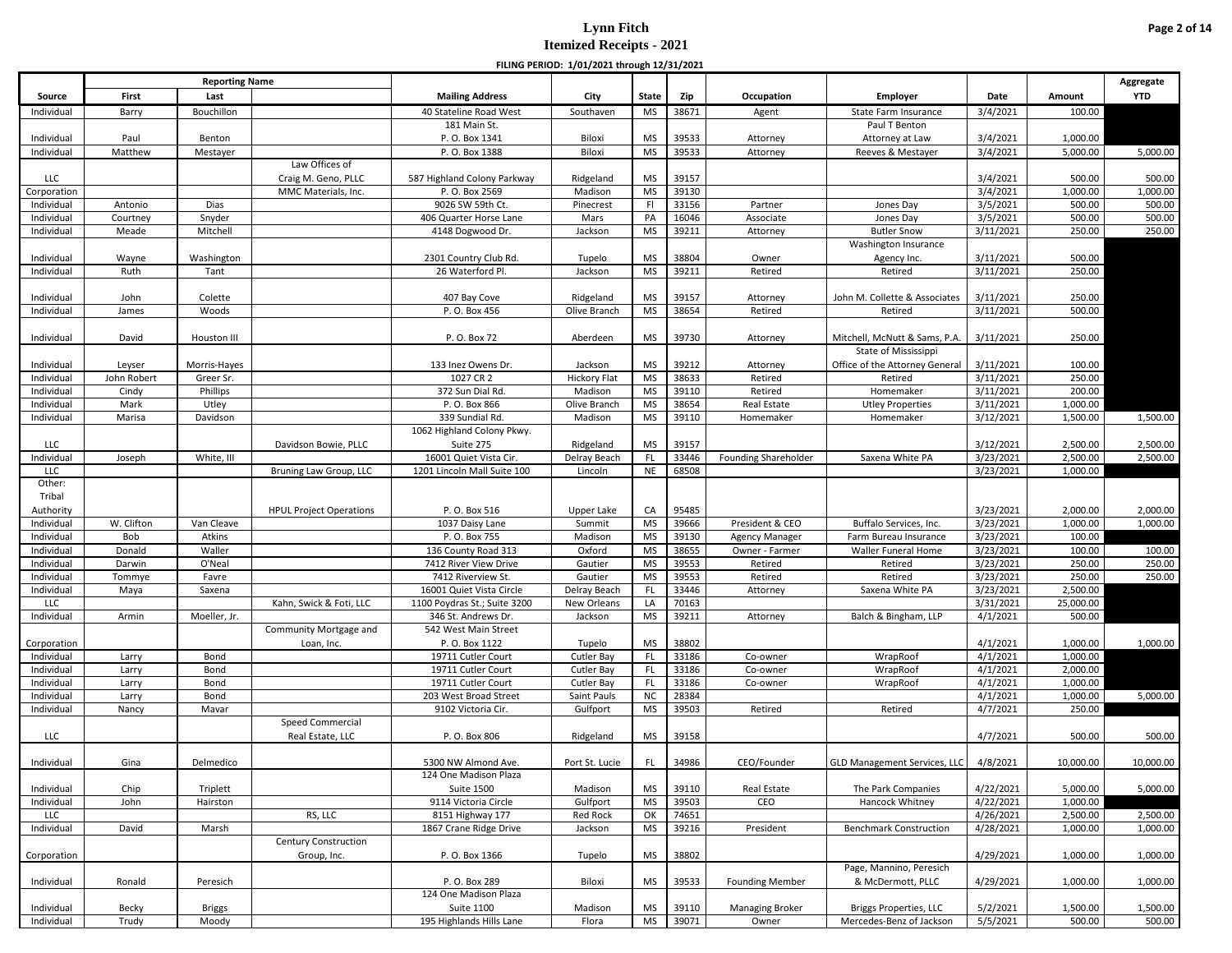|                          |               |                       |                                |                                                     | FILING PERIOD: 1/01/2021 through 12/31/2021 |                 |                |                             |                                          |                       |                     |            |
|--------------------------|---------------|-----------------------|--------------------------------|-----------------------------------------------------|---------------------------------------------|-----------------|----------------|-----------------------------|------------------------------------------|-----------------------|---------------------|------------|
|                          |               | <b>Reporting Name</b> |                                |                                                     |                                             |                 |                |                             |                                          |                       |                     | Aggregate  |
| Source                   | First         | Last                  |                                | <b>Mailing Address</b>                              | City                                        | <b>State</b>    | Zip            | Occupation                  | Employer                                 | Date                  | Amount              | <b>YTD</b> |
| Individual               | Barry         | Bouchillon            |                                | 40 Stateline Road West                              | Southaven                                   | MS              | 38671          | Agent                       | State Farm Insurance                     | 3/4/2021              | 100.00              |            |
|                          |               |                       |                                | 181 Main St.                                        |                                             |                 |                |                             | Paul T Benton                            |                       |                     |            |
| Individual               | Paul          | Benton                |                                | P. O. Box 1341                                      | Biloxi                                      | <b>MS</b>       | 39533          | Attorney                    | Attorney at Law                          | 3/4/2021              | 1,000.00            |            |
| Individual               | Matthew       | Mestayer              |                                | P.O. Box 1388                                       | Biloxi                                      | <b>MS</b>       | 39533          | Attorney                    | Reeves & Mestayer                        | 3/4/2021              | 5,000.00            | 5,000.00   |
|                          |               |                       | Law Offices of                 |                                                     |                                             |                 |                |                             |                                          |                       |                     |            |
| <b>LLC</b>               |               |                       | Craig M. Geno, PLLC            | 587 Highland Colony Parkway                         | Ridgeland                                   | <b>MS</b>       | 39157          |                             |                                          | 3/4/2021              | 500.00              | 500.00     |
| Corporation              |               |                       | MMC Materials, Inc.            | P.O. Box 2569                                       | Madison                                     | <b>MS</b>       | 39130          |                             |                                          | 3/4/2021              | 1,000.00            | 1,000.00   |
| Individual               | Antonio       | Dias                  |                                | 9026 SW 59th Ct.                                    | Pinecrest                                   | F               | 33156          | Partner                     | Jones Day                                | 3/5/2021              | 500.00              | 500.00     |
| Individual               | Courtney      | Snyder                |                                | 406 Quarter Horse Lane                              | Mars                                        | PA              | 16046          | Associate                   | Jones Day                                | 3/5/2021              | 500.00              | 500.00     |
| Individual               | Meade         | Mitchell              |                                | 4148 Dogwood Dr.                                    | Jackson                                     | <b>MS</b>       | 39211          | Attorney                    | <b>Butler Snow</b>                       | 3/11/2021             | 250.00              | 250.00     |
|                          |               |                       |                                |                                                     |                                             |                 |                |                             | Washington Insurance                     |                       |                     |            |
| Individual               | Wayne         | Washington            |                                | 2301 Country Club Rd.                               | Tupelo                                      | <b>MS</b>       | 38804          | Owner                       | Agency Inc.                              | 3/11/2021             | 500.00              |            |
| Individual               | Ruth          | Tant                  |                                | 26 Waterford Pl.                                    | Jackson                                     | <b>MS</b>       | 39211          | Retired                     | Retired                                  | 3/11/2021             | 250.00              |            |
|                          |               |                       |                                |                                                     |                                             |                 | 39157          |                             |                                          | 3/11/2021             |                     |            |
| Individual<br>Individual | John<br>James | Colette<br>Woods      |                                | 407 Bay Cove<br>P.O. Box 456                        | Ridgeland<br>Olive Branch                   | MS<br><b>MS</b> | 38654          | Attorney<br>Retired         | John M. Collette & Associates<br>Retired | 3/11/2021             | 250.00<br>500.00    |            |
|                          |               |                       |                                |                                                     |                                             |                 |                |                             |                                          |                       |                     |            |
| Individual               | David         | Houston III           |                                | P.O. Box 72                                         | Aberdeen                                    | MS              | 39730          | Attorney                    | Mitchell, McNutt & Sams, P.A.            | 3/11/2021             | 250.00              |            |
|                          |               |                       |                                |                                                     |                                             |                 |                |                             | State of Mississippi                     |                       |                     |            |
| Individual               | Leyser        | Morris-Hayes          |                                | 133 Inez Owens Dr.                                  | Jackson                                     | <b>MS</b>       | 39212          | Attorney                    | Office of the Attorney General           | 3/11/2021             | 100.00              |            |
| Individual               | John Robert   | Greer Sr.             |                                | 1027 CR 2                                           | <b>Hickory Flat</b>                         | <b>MS</b>       | 38633          | Retired                     | Retired                                  | 3/11/2021             | 250.00              |            |
| Individual               | Cindy         | Phillips              |                                | 372 Sun Dial Rd.                                    | Madison                                     | <b>MS</b>       | 39110          | Retired                     | Homemaker                                | 3/11/2021             | 200.00              |            |
| Individual               | Mark          | Utley                 |                                | P. O. Box 866                                       | Olive Branch                                | <b>MS</b>       | 38654          | Real Estate                 | <b>Utley Properties</b>                  | 3/11/2021             | 1,000.00            |            |
| Individual               | Marisa        | Davidson              |                                | 339 Sundial Rd.                                     | Madison                                     | <b>MS</b>       | 39110          | Homemaker                   | Homemaker                                | 3/12/2021             | 1,500.00            | 1,500.00   |
|                          |               |                       |                                | 1062 Highland Colony Pkwy.                          |                                             |                 |                |                             |                                          |                       |                     |            |
| LLC                      |               |                       | Davidson Bowie, PLLC           | Suite 275                                           | Ridgeland                                   | <b>MS</b>       | 39157          |                             |                                          | 3/12/2021             | 2,500.00            | 2,500.00   |
| Individual               | Joseph        | White, III            |                                | 16001 Quiet Vista Cir.                              | Delray Beach                                | <b>FL</b>       | 33446          | <b>Founding Shareholder</b> | Saxena White PA                          | 3/23/2021             | 2,500.00            | 2,500.00   |
| LLC                      |               |                       | Bruning Law Group, LLC         | 1201 Lincoln Mall Suite 100                         | Lincoln                                     | <b>NE</b>       | 68508          |                             |                                          | 3/23/2021             | 1,000.00            |            |
| Other:                   |               |                       |                                |                                                     |                                             |                 |                |                             |                                          |                       |                     |            |
| Tribal                   |               |                       |                                |                                                     |                                             |                 |                |                             |                                          |                       |                     |            |
| Authority                |               |                       | <b>HPUL Project Operations</b> | P.O. Box 516                                        | Upper Lake                                  | CA              | 95485          |                             |                                          | 3/23/2021             | 2,000.00            | 2,000.00   |
| Individual               | W. Clifton    | Van Cleave            |                                | 1037 Daisy Lane                                     | Summit                                      | <b>MS</b>       | 39666          | President & CEO             | Buffalo Services, Inc.                   | 3/23/2021             | 1,000.00            | 1,000.00   |
| Individual               | Bob           | Atkins                |                                | P. O. Box 755                                       | Madison                                     | <b>MS</b>       | 39130          | Agency Manager              | Farm Bureau Insurance                    | 3/23/2021             | 100.00              |            |
| Individual               | Donald        | Waller                |                                | 136 County Road 313                                 | Oxford                                      | <b>MS</b>       | 38655          | Owner - Farmer              | Waller Funeral Home                      | 3/23/2021             | 100.00              | 100.00     |
| Individual               | Darwin        | O'Neal                |                                | 7412 River View Drive                               | Gautier                                     | <b>MS</b>       | 39553          | Retired                     | Retired                                  | 3/23/2021             | 250.00              | 250.00     |
| Individual               | Tommye        | Favre                 |                                | 7412 Riverview St.                                  | Gautier                                     | <b>MS</b>       | 39553          | Retired                     | Retired                                  | 3/23/2021             | 250.00              | 250.00     |
| Individual               | Maya          | Saxena                |                                | 16001 Quiet Vista Circle                            | Delray Beach                                | FL              | 33446          | Attorney                    | Saxena White PA                          | 3/23/2021             | 2,500.00            |            |
| LLC<br>Individual        | Armin         | Moeller, Jr.          | Kahn, Swick & Foti, LLC        | 1100 Poydras St.; Suite 3200<br>346 St. Andrews Dr. | New Orleans<br>Jackson                      | LA<br><b>MS</b> | 70163<br>39211 |                             | Balch & Bingham, LLP                     | 3/31/2021<br>4/1/2021 | 25,000.00<br>500.00 |            |
|                          |               |                       | Community Mortgage and         | 542 West Main Street                                |                                             |                 |                | Attorney                    |                                          |                       |                     |            |
| Corporation              |               |                       | Loan, Inc.                     | P. O. Box 1122                                      | Tupelo                                      | <b>MS</b>       | 38802          |                             |                                          | 4/1/2021              | 1,000.00            | 1,000.00   |
| Individual               | Larry         | Bond                  |                                | 19711 Cutler Court                                  | Cutler Bay                                  | <b>FL</b>       | 33186          | Co-owner                    | WrapRoof                                 | 4/1/2021              | 1,000.00            |            |
| Individual               | Larry         | Bond                  |                                | 19711 Cutler Court                                  | Cutler Bay                                  | FL              | 33186          | Co-owner                    | WrapRoof                                 | 4/1/2021              | 2,000.00            |            |
| Individual               | Larry         | Bond                  |                                | 19711 Cutler Court                                  | Cutler Bay                                  | FL.             | 33186          | Co-owner                    | WrapRoof                                 | 4/1/2021              | 1,000.00            |            |
| Individual               | Larry         | Bond                  |                                | 203 West Broad Street                               | Saint Pauls                                 | <b>NC</b>       | 28384          |                             |                                          | 4/1/2021              | 1,000.00            | 5,000.00   |
| Individual               | Nancy         | Mavar                 |                                | 9102 Victoria Cir.                                  | Gulfport                                    | <b>MS</b>       | 39503          | Retired                     | Retired                                  | 4/7/2021              | 250.00              |            |
|                          |               |                       | Speed Commercial               |                                                     |                                             |                 |                |                             |                                          |                       |                     |            |
| LLC                      |               |                       | Real Estate, LLC               | P.O. Box 806                                        | Ridgeland                                   | MS              | 39158          |                             |                                          | 4/7/2021              | 500.00              | 500.00     |
|                          |               |                       |                                |                                                     |                                             |                 |                |                             |                                          |                       |                     |            |
| Individual               | Gina          | Delmedico             |                                | 5300 NW Almond Ave.                                 | Port St. Lucie                              | FL.             | 34986          | CEO/Founder                 | GLD Management Services, LLC             | 4/8/2021              | 10,000.00           | 10,000.00  |
|                          |               |                       |                                | 124 One Madison Plaza                               |                                             |                 |                |                             |                                          |                       |                     |            |
| Individual               | Chip          | Triplett              |                                | <b>Suite 1500</b>                                   | Madison                                     | <b>MS</b>       | 39110          | Real Estate                 | The Park Companies                       | 4/22/2021             | 5,000.00            | 5,000.00   |
| Individual               | John          | Hairston              |                                | 9114 Victoria Circle                                | Gulfport                                    | <b>MS</b>       | 39503          | CEO                         | Hancock Whitney                          | 4/22/2021             | 1,000.00            |            |
| LLC                      |               |                       | RS, LLC                        | 8151 Highway 177                                    | Red Rock                                    | OK              | 74651          |                             |                                          | 4/26/2021             | 2,500.00            | 2,500.00   |
| Individual               | David         | Marsh                 |                                | 1867 Crane Ridge Drive                              | Jackson                                     | MS              | 39216          | President                   | <b>Benchmark Construction</b>            | 4/28/2021             | 1,000.00            | 1,000.00   |
|                          |               |                       | Century Construction           |                                                     |                                             |                 |                |                             |                                          |                       |                     |            |
| Corporation              |               |                       | Group, Inc.                    | P.O. Box 1366                                       | Tupelo                                      | MS              | 38802          |                             | Page, Mannino, Peresich                  | 4/29/2021             | 1,000.00            | 1,000.00   |
|                          |               |                       |                                | P. O. Box 289                                       |                                             |                 |                |                             |                                          |                       |                     |            |
| Individual               | Ronald        | Peresich              |                                | 124 One Madison Plaza                               | Biloxi                                      | MS              | 39533          | <b>Founding Member</b>      | & McDermott, PLLC                        | 4/29/2021             | 1,000.00            | 1,000.00   |
| Individual               | Becky         | <b>Briggs</b>         |                                | Suite 1100                                          | Madison                                     | MS              | 39110          | <b>Managing Broker</b>      | <b>Briggs Properties, LLC</b>            | 5/2/2021              | 1,500.00            | 1,500.00   |
| Individual               | Trudy         | Moody                 |                                | 195 Highlands Hills Lane                            | Flora                                       | <b>MS</b>       | 39071          | Owner                       | Mercedes-Benz of Jackson                 | 5/5/2021              | 500.00              | 500.00     |
|                          |               |                       |                                |                                                     |                                             |                 |                |                             |                                          |                       |                     |            |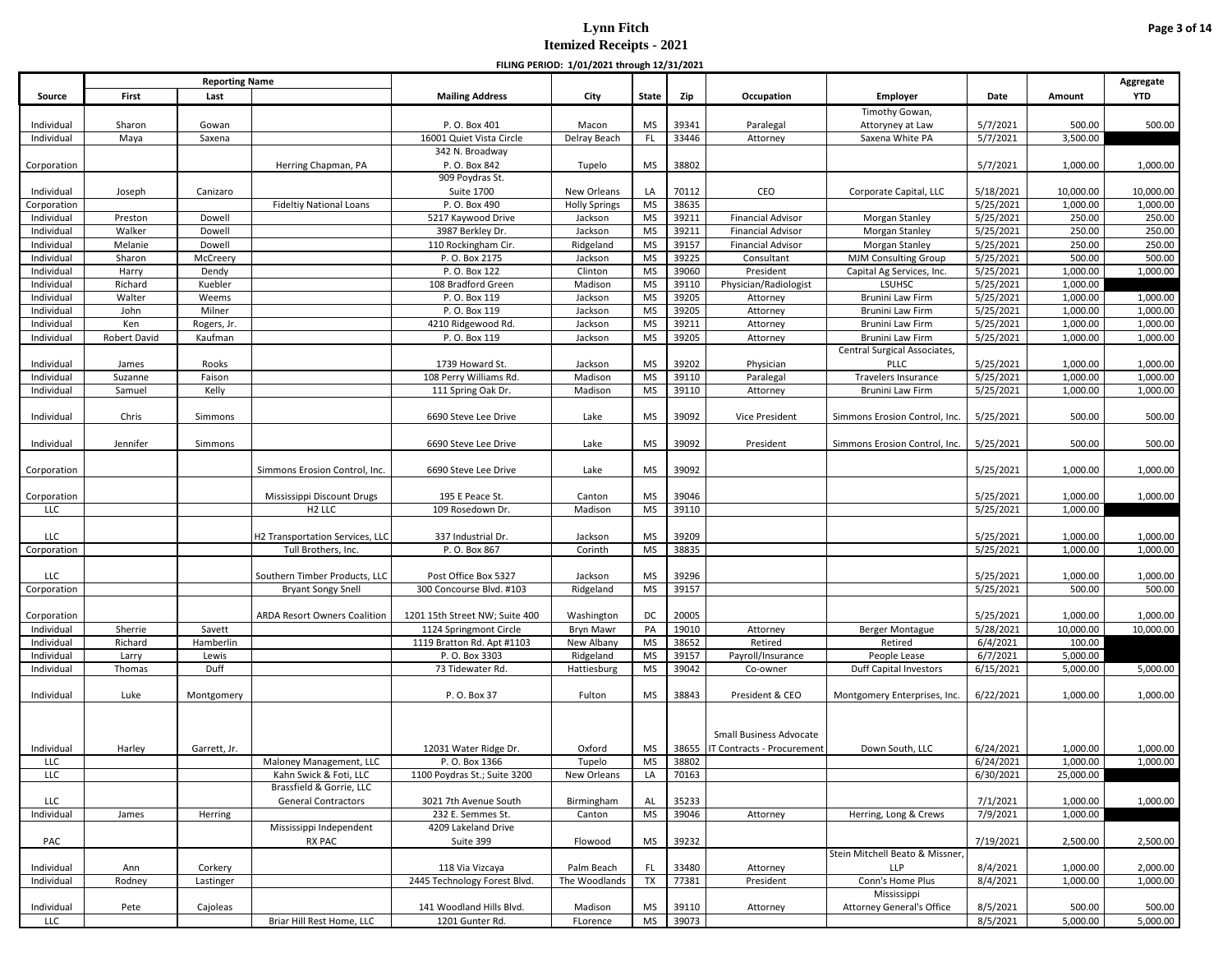|                          |                    |                       |                                 |                                                      | FILING FLAIOD. 1/01/2021 (INOUGH 12/31/2021 |                        |                |                            |                                  |                       |                      |                      |
|--------------------------|--------------------|-----------------------|---------------------------------|------------------------------------------------------|---------------------------------------------|------------------------|----------------|----------------------------|----------------------------------|-----------------------|----------------------|----------------------|
|                          |                    | <b>Reporting Name</b> |                                 |                                                      |                                             |                        |                |                            |                                  |                       |                      | Aggregate            |
| Source                   | First              | Last                  |                                 | <b>Mailing Address</b>                               | City                                        | State                  | Zip            | Occupation                 | Employer                         | Date                  | Amount               | <b>YTD</b>           |
|                          |                    |                       |                                 |                                                      |                                             |                        |                |                            | Timothy Gowan,                   |                       |                      |                      |
| Individual               | Sharon             | Gowan                 |                                 | P.O. Box 401                                         | Macon                                       | <b>MS</b>              | 39341          | Paralegal                  | Attoryney at Law                 | 5/7/2021              | 500.00               | 500.00               |
| Individual               | Maya               | Saxena                |                                 | 16001 Quiet Vista Circle                             | Delray Beach                                | <b>FL</b>              | 33446          | Attorney                   | Saxena White PA                  | 5/7/2021              | 3,500.00             |                      |
|                          |                    |                       |                                 | 342 N. Broadway<br>P.O. Box 842                      |                                             | <b>MS</b>              | 38802          |                            |                                  |                       | 1,000.00             |                      |
| Corporation              |                    |                       | Herring Chapman, PA             | 909 Poydras St.                                      | Tupelo                                      |                        |                |                            |                                  | 5/7/2021              |                      | 1,000.00             |
| Individual               | Joseph             | Canizaro              |                                 | <b>Suite 1700</b>                                    | New Orleans                                 | LA                     | 70112          | CEO                        | Corporate Capital, LLC           | 5/18/2021             | 10,000.00            | 10,000.00            |
| Corporation              |                    |                       | <b>Fideltiy National Loans</b>  | P.O. Box 490                                         | <b>Holly Springs</b>                        | <b>MS</b>              | 38635          |                            |                                  | 5/25/2021             | 1,000.00             | 1,000.00             |
| Individual               | Preston            | Dowell                |                                 | 5217 Kaywood Drive                                   | Jackson                                     | <b>MS</b>              | 39211          | <b>Financial Advisor</b>   | Morgan Stanley                   | 5/25/2021             | 250.00               | 250.00               |
| Individual               | Walker             | Dowell                |                                 | 3987 Berkley Dr.                                     | Jackson                                     | <b>MS</b>              | 39211          | <b>Financial Advisor</b>   | Morgan Stanley                   | 5/25/2021             | 250.00               | 250.00               |
| Individual               | Melanie            | Dowell                |                                 | 110 Rockingham Cir.                                  | Ridgeland                                   | <b>MS</b>              | 39157          | <b>Financial Advisor</b>   | Morgan Stanley                   | 5/25/2021             | 250.00               | 250.00               |
| Individual               | Sharon             | McCreery              |                                 | P.O. Box 2175                                        | Jackson                                     | <b>MS</b>              | 39225          | Consultant                 | <b>MJM Consulting Group</b>      | 5/25/2021             | 500.00               | 500.00               |
| Individual               | Harry              | Dendy                 |                                 | P.O. Box 122                                         | Clinton                                     | <b>MS</b>              | 39060          | President                  | Capital Ag Services, Inc.        | 5/25/2021             | 1,000.00             | 1,000.00             |
| Individual               | Richard            | Kuebler               |                                 | 108 Bradford Green                                   | Madison                                     | <b>MS</b>              | 39110          | Physician/Radiologist      | <b>LSUHSC</b>                    | 5/25/2021             | 1,000.00             |                      |
| Individual               | Walter             | Weems                 |                                 | P.O. Box 119                                         | Jackson                                     | <b>MS</b>              | 39205          | Attorney                   | Brunini Law Firm                 | 5/25/2021             | 1,000.00             | 1,000.00             |
| Individual               | John               | Milner                |                                 | P.O. Box 119                                         | Jackson                                     | <b>MS</b>              | 39205          | Attorney                   | Brunini Law Firm                 | 5/25/2021             | 1,000.00             | 1,000.00             |
| Individual               | Ken                | Rogers, Jr.           |                                 | 4210 Ridgewood Rd.                                   | Jackson                                     | <b>MS</b>              | 39211          | Attorney                   | Brunini Law Firm                 | 5/25/2021             | 1,000.00             | 1,000.00             |
| Individual               | Robert David       | Kaufman               |                                 | P.O. Box 119                                         | Jackson                                     | <b>MS</b>              | 39205          | Attorney                   | Brunini Law Firm                 | 5/25/2021             | 1,000.00             | 1,000.00             |
|                          |                    |                       |                                 |                                                      |                                             |                        |                |                            | Central Surgical Associates,     |                       |                      |                      |
| Individual               | James              | Rooks                 |                                 | 1739 Howard St.                                      | Jackson                                     | MS                     | 39202          | Physician                  | PLLC                             | 5/25/2021             | 1,000.00             | 1,000.00             |
| Individual               | Suzanne            | Faison                |                                 | 108 Perry Williams Rd                                | Madison                                     | <b>MS</b>              | 39110          | Paralegal                  | <b>Travelers Insurance</b>       | 5/25/2021             | 1,000.00             | 1,000.00             |
| Individual               | Samuel             | Kelly                 |                                 | 111 Spring Oak Dr.                                   | Madison                                     | <b>MS</b>              | 39110          | Attorney                   | Brunini Law Firm                 | 5/25/2021             | 1,000.00             | 1,000.00             |
|                          | Chris              |                       |                                 | 6690 Steve Lee Drive                                 | Lake                                        | <b>MS</b>              | 39092          | Vice President             | Simmons Erosion Control, Inc.    | 5/25/2021             | 500.00               | 500.00               |
| Individual               |                    | Simmons               |                                 |                                                      |                                             |                        |                |                            |                                  |                       |                      |                      |
| Individual               | Jennifer           | Simmons               |                                 | 6690 Steve Lee Drive                                 | Lake                                        | <b>MS</b>              | 39092          | President                  | Simmons Erosion Control, Inc.    | 5/25/2021             | 500.00               | 500.00               |
|                          |                    |                       |                                 |                                                      |                                             |                        |                |                            |                                  |                       |                      |                      |
| Corporation              |                    |                       | Simmons Erosion Control, Inc.   | 6690 Steve Lee Drive                                 | Lake                                        | <b>MS</b>              | 39092          |                            |                                  | 5/25/2021             | 1,000.00             | 1,000.00             |
|                          |                    |                       |                                 |                                                      |                                             |                        |                |                            |                                  |                       |                      |                      |
| Corporation              |                    |                       | Mississippi Discount Drugs      | 195 E Peace St.                                      | Canton                                      | MS                     | 39046          |                            |                                  | 5/25/2021             | 1,000.00             | 1,000.00             |
| LLC                      |                    |                       | H <sub>2</sub> LLC              | 109 Rosedown Dr.                                     | Madison                                     | <b>MS</b>              | 39110          |                            |                                  | 5/25/2021             | 1,000.00             |                      |
|                          |                    |                       |                                 |                                                      |                                             |                        |                |                            |                                  |                       |                      |                      |
| LLC                      |                    |                       | H2 Transportation Services, LLC | 337 Industrial Dr.                                   | Jackson                                     | <b>MS</b>              | 39209          |                            |                                  | 5/25/2021             | 1,000.00             | 1,000.00             |
| Corporation              |                    |                       | Tull Brothers, Inc.             | P.O. Box 867                                         | Corinth                                     | <b>MS</b>              | 38835          |                            |                                  | 5/25/2021             | 1,000.00             | 1,000.00             |
|                          |                    |                       |                                 |                                                      |                                             |                        |                |                            |                                  |                       |                      |                      |
| LLC                      |                    |                       | Southern Timber Products, LLC   | Post Office Box 5327                                 | Jackson                                     | <b>MS</b>              | 39296          |                            |                                  | 5/25/2021             | 1,000.00             | 1,000.00             |
| Corporation              |                    |                       | <b>Bryant Songy Snell</b>       | 300 Concourse Blvd. #103                             | Ridgeland                                   | <b>MS</b>              | 39157          |                            |                                  | 5/25/2021             | 500.00               | 500.00               |
|                          |                    |                       |                                 |                                                      |                                             |                        |                |                            |                                  |                       |                      |                      |
| Corporation              |                    |                       | ARDA Resort Owners Coalition    | 1201 15th Street NW; Suite 400                       | Washington                                  | DC                     | 20005          |                            |                                  | 5/25/2021             | 1,000.00             | 1,000.00             |
| Individual<br>Individual | Sherrie<br>Richard | Savett<br>Hamberlin   |                                 | 1124 Springmont Circle<br>1119 Bratton Rd. Apt #1103 | Bryn Mawr<br>New Albany                     | PA<br><b>MS</b>        | 19010<br>38652 | Attorney<br>Retired        | Berger Montague<br>Retired       | 5/28/2021<br>6/4/2021 | 10,000.00<br>100.00  | 10,000.00            |
| Individual               | Larry              | Lewis                 |                                 | P.O. Box 3303                                        | Ridgeland                                   | <b>MS</b>              | 39157          | Payroll/Insurance          | People Lease                     | 6/7/2021              | 5,000.00             |                      |
| Individual               | Thomas             | Duff                  |                                 | 73 Tidewater Rd.                                     | Hattiesburg                                 | <b>MS</b>              | 39042          | Co-owner                   | Duff Capital Investors           | 6/15/2021             | 5,000.00             | 5,000.00             |
|                          |                    |                       |                                 |                                                      |                                             |                        |                |                            |                                  |                       |                      |                      |
| Individual               | Luke               | Montgomery            |                                 | P. O. Box 37                                         | Fulton                                      | MS                     | 38843          | President & CEO            | Montgomery Enterprises, Inc.     | 6/22/2021             | 1,000.00             | 1,000.00             |
|                          |                    |                       |                                 |                                                      |                                             |                        |                |                            |                                  |                       |                      |                      |
|                          |                    |                       |                                 |                                                      |                                             |                        |                |                            |                                  |                       |                      |                      |
|                          |                    |                       |                                 |                                                      |                                             |                        |                | Small Business Advocate    |                                  |                       |                      |                      |
| Individual               | Harley             | Garrett, Jr.          |                                 | 12031 Water Ridge Dr.                                | Oxford                                      | MS                     | 38655          | IT Contracts - Procurement | Down South, LLC                  | 6/24/2021             | 1,000.00             | 1,000.00             |
| LLC                      |                    |                       | Maloney Management, LLC         | P.O. Box 1366                                        | Tupelo                                      | <b>MS</b>              | 38802          |                            |                                  | 6/24/2021             | 1,000.00             | 1,000.00             |
| LLC                      |                    |                       | Kahn Swick & Foti, LLC          | 1100 Poydras St.; Suite 3200                         | New Orleans                                 | LA                     | 70163          |                            |                                  | 6/30/2021             | 25,000.00            |                      |
|                          |                    |                       | Brassfield & Gorrie, LLC        |                                                      |                                             |                        |                |                            |                                  |                       |                      |                      |
| LLC                      |                    |                       | <b>General Contractors</b>      | 3021 7th Avenue South                                | Birmingham                                  | AL                     | 35233          |                            |                                  | 7/1/2021              | 1,000.00             | 1,000.00             |
| Individual               | James              | Herring               |                                 | 232 E. Semmes St.                                    | Canton                                      | <b>MS</b>              | 39046          | Attorney                   | Herring, Long & Crews            | 7/9/2021              | 1,000.00             |                      |
|                          |                    |                       | Mississippi Independent         | 4209 Lakeland Drive                                  |                                             |                        |                |                            |                                  |                       |                      |                      |
| PAC                      |                    |                       | RX PAC                          | Suite 399                                            | Flowood                                     | <b>MS</b>              | 39232          |                            |                                  | 7/19/2021             | 2,500.00             | 2,500.00             |
|                          |                    |                       |                                 |                                                      |                                             |                        |                |                            | Stein Mitchell Beato & Missner,  |                       |                      |                      |
| Individual               | Ann                | Corkery               |                                 | 118 Via Vizcaya<br>2445 Technology Forest Blvd.      | Palm Beach<br>The Woodlands                 | <b>FL</b><br><b>TX</b> | 33480<br>77381 | Attorney                   | LLP<br>Conn's Home Plus          | 8/4/2021              | 1,000.00<br>1,000.00 | 2,000.00<br>1,000.00 |
| Individual               | Rodney             | Lastinger             |                                 |                                                      |                                             |                        |                | President                  | Mississippi                      | 8/4/2021              |                      |                      |
| Individual               | Pete               | Cajoleas              |                                 | 141 Woodland Hills Blvd.                             | Madison                                     | <b>MS</b>              | 39110          | Attorney                   | <b>Attorney General's Office</b> | 8/5/2021              | 500.00               | 500.00               |
| LLC                      |                    |                       | Briar Hill Rest Home, LLC       | 1201 Gunter Rd.                                      | FLorence                                    | <b>MS</b>              | 39073          |                            |                                  | 8/5/2021              | 5,000.00             | 5,000.00             |
|                          |                    |                       |                                 |                                                      |                                             |                        |                |                            |                                  |                       |                      |                      |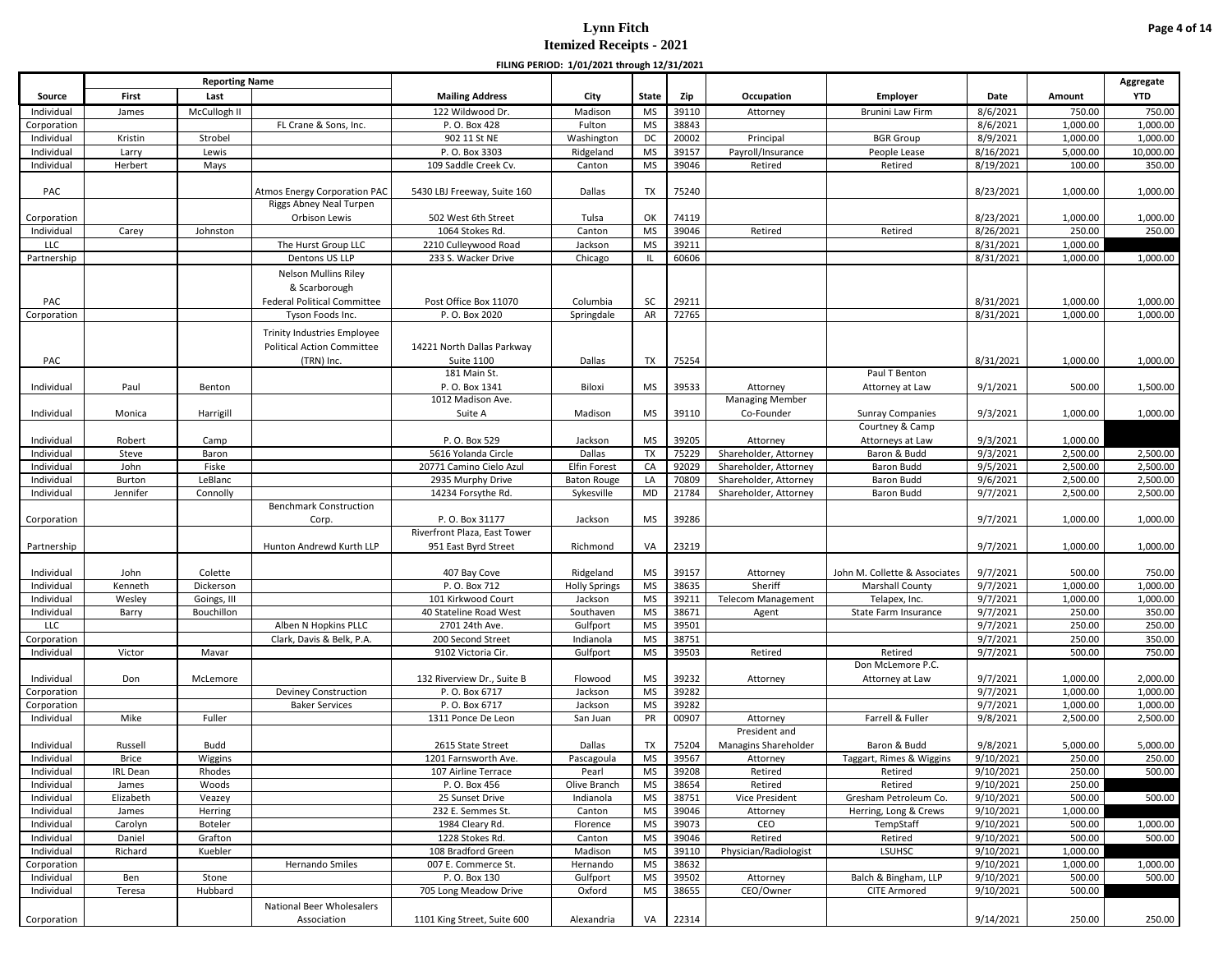|                           |                 |                       |                                     |                                              | FILING PERIOD: 1/01/2021 through 12/31/2021 |                        |                |                           |                                     |                      |                      |                      |
|---------------------------|-----------------|-----------------------|-------------------------------------|----------------------------------------------|---------------------------------------------|------------------------|----------------|---------------------------|-------------------------------------|----------------------|----------------------|----------------------|
|                           |                 | <b>Reporting Name</b> |                                     |                                              |                                             |                        |                |                           |                                     |                      |                      | Aggregate            |
| Source                    | First           | Last                  |                                     | <b>Mailing Address</b>                       | City                                        | <b>State</b>           | Zip            | Occupation                | <b>Employer</b>                     | Date                 | Amount               | <b>YTD</b>           |
| Individual                | James           | McCullogh II          |                                     | 122 Wildwood Dr.                             | Madison                                     | MS                     | 39110          | Attorney                  | Brunini Law Firm                    | 8/6/2021             | 750.00               | 750.00               |
| Corporation               |                 |                       | FL Crane & Sons, Inc.               | P.O. Box 428                                 | Fulton                                      | <b>MS</b>              | 38843          |                           |                                     | 8/6/2021             | 1,000.00             | 1,000.00             |
| Individual                | Kristin         | Strobel               |                                     | 902 11 St NE                                 | Washington                                  | DC                     | 20002          | Principal                 | <b>BGR</b> Group                    | 8/9/2021             | 1,000.00             | 1,000.00             |
| Individual                | Larry           | Lewis                 |                                     | P.O. Box 3303                                | Ridgeland                                   | <b>MS</b>              | 39157          | Payroll/Insurance         | People Lease                        | 8/16/2021            | 5,000.00             | 10,000.00            |
| Individual                | Herbert         | Mays                  |                                     | 109 Saddle Creek Cv.                         | Canton                                      | <b>MS</b>              | 39046          | Retired                   | Retired                             | 8/19/2021            | 100.00               | 350.00               |
|                           |                 |                       |                                     |                                              |                                             |                        |                |                           |                                     |                      |                      |                      |
| PAC                       |                 |                       | <b>Atmos Energy Corporation PAC</b> | 5430 LBJ Freeway, Suite 160                  | Dallas                                      | TX                     | 75240          |                           |                                     | 8/23/2021            | 1,000.00             | 1,000.00             |
|                           |                 |                       | Riggs Abney Neal Turpen             |                                              |                                             |                        |                |                           |                                     |                      |                      |                      |
| Corporation               |                 |                       | Orbison Lewis                       | 502 West 6th Street                          | Tulsa                                       | OK                     | 74119          |                           |                                     | 8/23/2021            | 1,000.00             | 1,000.00             |
| Individual                | Carey           | Johnston              |                                     | 1064 Stokes Rd.                              | Canton                                      | <b>MS</b>              | 39046          | Retired                   | Retired                             | 8/26/2021            | 250.00               | 250.00               |
| LLC                       |                 |                       | The Hurst Group LLC                 | 2210 Culleywood Road                         | Jackson                                     | <b>MS</b>              | 39211          |                           |                                     | 8/31/2021            | 1,000.00             |                      |
| Partnership               |                 |                       | Dentons US LLP                      | 233 S. Wacker Drive                          | Chicago                                     | ΠL                     | 60606          |                           |                                     | 8/31/2021            | 1,000.00             | 1,000.00             |
|                           |                 |                       | Nelson Mullins Riley                |                                              |                                             |                        |                |                           |                                     |                      |                      |                      |
|                           |                 |                       | & Scarborough                       |                                              |                                             |                        |                |                           |                                     |                      |                      |                      |
| PAC                       |                 |                       | <b>Federal Political Committee</b>  | Post Office Box 11070                        | Columbia                                    | <b>SC</b>              | 29211          |                           |                                     | 8/31/2021            | 1,000.00             | 1,000.00             |
| Corporation               |                 |                       | Tyson Foods Inc.                    | P.O. Box 2020                                | Springdale                                  | AR                     | 72765          |                           |                                     | 8/31/2021            | 1,000.00             | 1,000.00             |
|                           |                 |                       |                                     |                                              |                                             |                        |                |                           |                                     |                      |                      |                      |
|                           |                 |                       | <b>Trinity Industries Employee</b>  |                                              |                                             |                        |                |                           |                                     |                      |                      |                      |
|                           |                 |                       | <b>Political Action Committee</b>   | 14221 North Dallas Parkway                   |                                             |                        |                |                           |                                     |                      |                      |                      |
| PAC                       |                 |                       | (TRN) Inc.                          | Suite 1100                                   | Dallas                                      | TX                     | 75254          |                           |                                     | 8/31/2021            | 1,000.00             | 1,000.00             |
|                           |                 |                       |                                     | 181 Main St.                                 |                                             |                        |                |                           | Paul T Benton                       |                      |                      |                      |
| Individual                | Paul            | Benton                |                                     | P.O. Box 1341                                | Biloxi                                      | MS                     | 39533          | Attorney                  | Attorney at Law                     | 9/1/2021             | 500.00               | 1,500.00             |
|                           |                 |                       |                                     | 1012 Madison Ave.                            |                                             |                        |                | <b>Managing Member</b>    |                                     |                      |                      |                      |
| Individual                | Monica          | Harrigill             |                                     | Suite A                                      | Madison                                     | <b>MS</b>              | 39110          | Co-Founder                | <b>Sunray Companies</b>             | 9/3/2021             | 1,000.00             | 1,000.00             |
|                           |                 |                       |                                     |                                              |                                             |                        |                |                           | Courtney & Camp                     |                      |                      |                      |
| Individual                | Robert          | Camp                  |                                     | P.O. Box 529                                 | Jackson                                     | <b>MS</b>              | 39205          | Attorney                  | Attorneys at Law                    | 9/3/2021             | 1,000.00             |                      |
| Individual                | Steve           | Baron                 |                                     | 5616 Yolanda Circle                          | Dallas                                      | TX                     | 75229          | Shareholder, Attorney     | Baron & Budd                        | 9/3/2021             | 2,500.00             | 2,500.00             |
| Individual                | John            | Fiske                 |                                     | 20771 Camino Cielo Azul                      | <b>Elfin Forest</b>                         | CA                     | 92029          | Shareholder, Attorney     | Baron Budd                          | 9/5/2021             | 2,500.00             | 2,500.00             |
| Individual                | Burton          | LeBlanc               |                                     | 2935 Murphy Drive                            | <b>Baton Rouge</b>                          | LA                     | 70809          | Shareholder, Attorney     | Baron Budd                          | 9/6/2021             | 2,500.00             | 2,500.00             |
| Individual                | Jennifer        | Connolly              |                                     | 14234 Forsythe Rd.                           | Sykesville                                  | MD                     | 21784          | Shareholder, Attorney     | Baron Budd                          | 9/7/2021             | 2,500.00             | 2,500.00             |
|                           |                 |                       | <b>Benchmark Construction</b>       |                                              |                                             |                        |                |                           |                                     |                      |                      |                      |
| Corporation               |                 |                       | Corp.                               | P.O. Box 31177                               | Jackson                                     | <b>MS</b>              | 39286          |                           |                                     | 9/7/2021             | 1,000.00             | 1,000.00             |
|                           |                 |                       |                                     | Riverfront Plaza, East Tower                 |                                             |                        |                |                           |                                     |                      |                      |                      |
| Partnership               |                 |                       | Hunton Andrewd Kurth LLP            | 951 East Byrd Street                         | Richmond                                    | VA                     | 23219          |                           |                                     | 9/7/2021             | 1,000.00             | 1,000.00             |
|                           |                 |                       |                                     |                                              |                                             |                        |                |                           |                                     |                      |                      |                      |
| Individual                | John            | Colette               |                                     | 407 Bay Cove                                 | Ridgeland                                   | <b>MS</b>              | 39157          | Attorney                  | John M. Collette & Associates       | 9/7/2021             | 500.00               | 750.00               |
| Individual                | Kenneth         | Dickerson             |                                     | P. O. Box 712                                | <b>Holly Springs</b>                        | <b>MS</b>              | 38635          | Sheriff                   | Marshall County                     | 9/7/2021             | 1,000.00             | 1,000.00             |
| Individual                | Wesley          | Goings, III           |                                     | 101 Kirkwood Court                           | Jackson                                     | <b>MS</b>              | 39211          | <b>Telecom Management</b> | Telapex, Inc.                       | 9/7/2021             | 1,000.00             | 1,000.00             |
| Individual                | Barry           | Bouchillon            |                                     | 40 Stateline Road West                       | Southaven                                   | <b>MS</b>              | 38671          | Agent                     | State Farm Insurance                | 9/7/2021             | 250.00               | 350.00               |
| LLC                       |                 |                       | Alben N Hopkins PLLC                | 2701 24th Ave.                               | Gulfport                                    | <b>MS</b>              | 39501          |                           |                                     | 9/7/2021             | 250.00               | 250.00               |
| Corporation               |                 |                       | Clark, Davis & Belk, P.A.           | 200 Second Street                            | Indianola                                   | <b>MS</b>              | 38751          |                           |                                     | 9/7/2021             | 250.00               | 350.00               |
| Individual                | Victor          | Mavar                 |                                     | 9102 Victoria Cir.                           | Gulfport                                    | MS                     | 39503          | Retired                   | Retired                             | 9/7/2021             | 500.00               | 750.00               |
|                           |                 |                       |                                     |                                              |                                             |                        |                |                           | Don McLemore P.C.                   |                      |                      |                      |
| Individual                | Don             | McLemore              |                                     | 132 Riverview Dr., Suite B<br>P. O. Box 6717 | Flowood<br>Jackson                          | <b>MS</b><br><b>MS</b> | 39232<br>39282 | Attorney                  | Attorney at Law                     | 9/7/2021<br>9/7/2021 | 1,000.00<br>1,000.00 | 2,000.00<br>1,000.00 |
| Corporation               |                 |                       | Deviney Construction                |                                              |                                             |                        | 39282          |                           |                                     | 9/7/2021             |                      |                      |
| Corporation<br>Individual | Mike            | Fuller                | <b>Baker Services</b>               | P.O. Box 6717<br>1311 Ponce De Leon          | Jackson<br>San Juan                         | <b>MS</b><br>PR        | 00907          | Attorney                  | Farrell & Fuller                    | 9/8/2021             | 1,000.00<br>2,500.00 | 1,000.00<br>2,500.00 |
|                           |                 |                       |                                     |                                              |                                             |                        |                | President and             |                                     |                      |                      |                      |
| Individual                | Russell         | Budd                  |                                     | 2615 State Street                            | Dallas                                      | <b>TX</b>              | 75204          | Managins Shareholder      | Baron & Budd                        | 9/8/2021             | 5,000.00             | 5,000.00             |
| Individual                | <b>Brice</b>    |                       |                                     | 1201 Farnsworth Ave.                         |                                             | <b>MS</b>              | 39567          |                           |                                     | 9/10/2021            | 250.00               | 250.00               |
| Individual                | <b>IRL</b> Dean | Wiggins<br>Rhodes     |                                     | 107 Airline Terrace                          | Pascagoula<br>Pearl                         | MS                     | 39208          | Attorney<br>Retired       | Taggart, Rimes & Wiggins<br>Retired | 9/10/2021            | 250.00               | 500.00               |
| Individual                | James           | Woods                 |                                     | P.O. Box 456                                 | Olive Branch                                | <b>MS</b>              | 38654          | Retired                   | Retired                             | 9/10/2021            | 250.00               |                      |
| Individual                | Elizabeth       | Veazey                |                                     | 25 Sunset Drive                              | Indianola                                   | <b>MS</b>              | 38751          | Vice President            | Gresham Petroleum Co.               | 9/10/2021            | 500.00               | 500.00               |
| Individual                | James           | Herring               |                                     | 232 E. Semmes St.                            | Canton                                      | <b>MS</b>              | 39046          | Attorney                  | Herring, Long & Crews               | 9/10/2021            | 1,000.00             |                      |
| Individual                | Carolyn         | Boteler               |                                     | 1984 Cleary Rd.                              | Florence                                    | <b>MS</b>              | 39073          | CEO                       | TempStaff                           | 9/10/2021            | 500.00               | 1,000.00             |
| Individual                | Daniel          | Grafton               |                                     | 1228 Stokes Rd.                              | Canton                                      | <b>MS</b>              | 39046          | Retired                   | Retired                             | 9/10/2021            | 500.00               | 500.00               |
|                           |                 |                       |                                     | 108 Bradford Green                           |                                             | <b>MS</b>              | 39110          | Physician/Radiologist     | <b>LSUHSC</b>                       | 9/10/2021            |                      |                      |
| Individual                | Richard         | Kuebler               | Hernando Smiles                     | 007 E. Commerce St.                          | Madison                                     |                        | 38632          |                           |                                     | 9/10/2021            | 1,000.00             |                      |
| Corporation               |                 |                       |                                     | P.O. Box 130                                 | Hernando                                    | <b>MS</b>              |                |                           | Balch & Bingham, LLP                | 9/10/2021            | 1,000.00             | 1,000.00             |
| Individual                | Ben             | Stone                 |                                     |                                              | Gulfport                                    | <b>MS</b>              | 39502          | Attorney                  | <b>CITE Armored</b>                 |                      | 500.00               | 500.00               |
| Individual                | Teresa          | Hubbard               |                                     | 705 Long Meadow Drive                        | Oxford                                      | <b>MS</b>              | 38655          | CEO/Owner                 |                                     | 9/10/2021            | 500.00               |                      |
|                           |                 |                       | National Beer Wholesalers           |                                              |                                             |                        |                |                           |                                     |                      |                      |                      |
| Corporation               |                 |                       | Association                         | 1101 King Street, Suite 600                  | Alexandria                                  | VA                     | 22314          |                           |                                     | 9/14/2021            | 250.00               | 250.00               |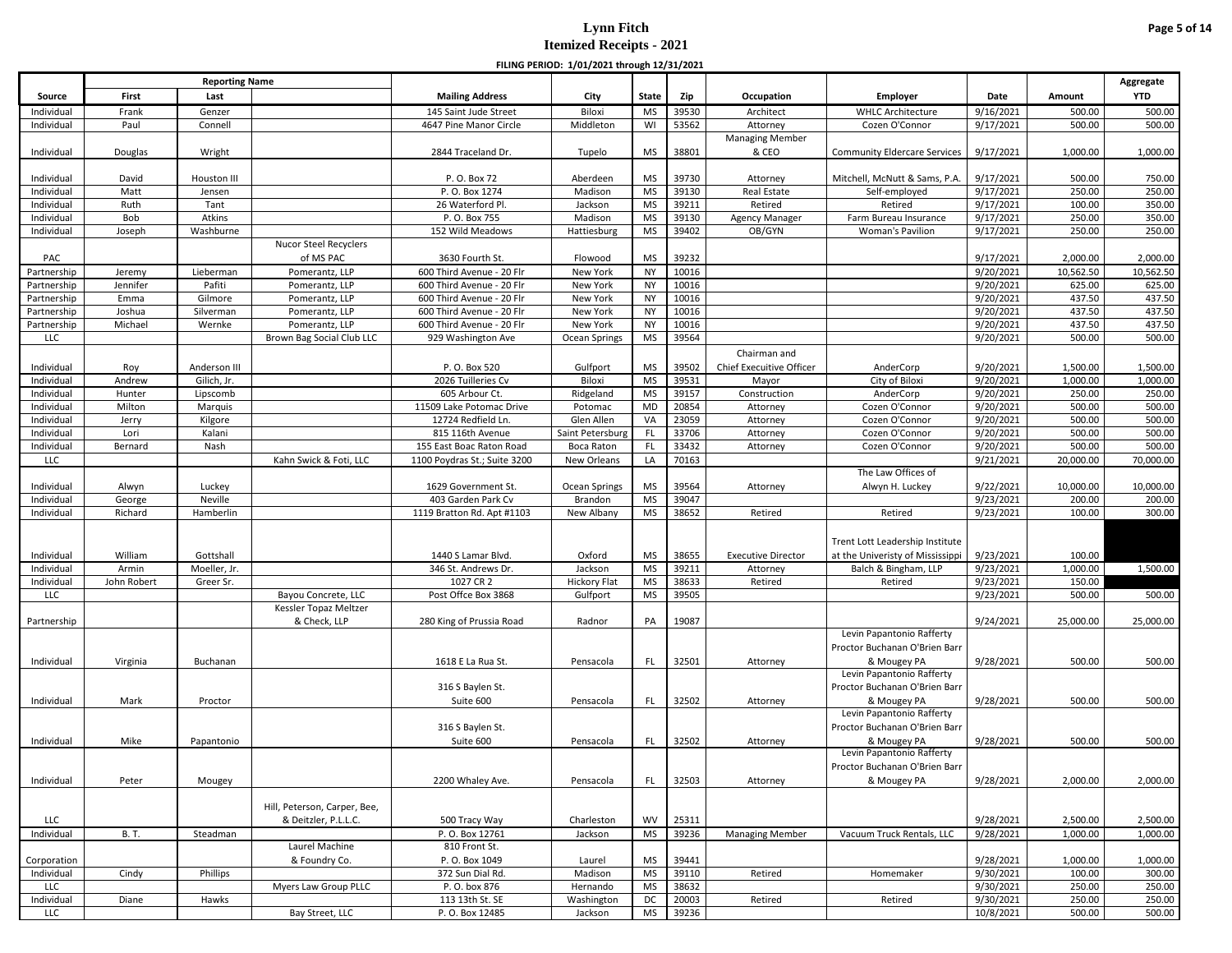|                          |                 |                       |                                    |                                           | FILING PERIOD: 1/01/2021 through 12/31/2021 |                        |                |                                 |                                          |                        |                     |                     |
|--------------------------|-----------------|-----------------------|------------------------------------|-------------------------------------------|---------------------------------------------|------------------------|----------------|---------------------------------|------------------------------------------|------------------------|---------------------|---------------------|
|                          |                 | <b>Reporting Name</b> |                                    |                                           |                                             |                        |                |                                 |                                          |                        |                     | Aggregate           |
| Source                   | First           | Last                  |                                    | <b>Mailing Address</b>                    | City                                        | <b>State</b>           | Zip            | Occupation                      | Employer                                 | Date                   | Amount              | <b>YTD</b>          |
| Individual               | Frank           | Genzer                |                                    | 145 Saint Jude Street                     | Biloxi                                      | MS                     | 39530          | Architect                       | <b>WHLC Architecture</b>                 | 9/16/2021              | 500.00              | 500.00              |
| Individual               | Paul            | Connell               |                                    | 4647 Pine Manor Circle                    | Middleton                                   | WI                     | 53562          | Attorney                        | Cozen O'Connor                           | 9/17/2021              | 500.00              | 500.00              |
| Individual               | Douglas         | Wright                |                                    | 2844 Traceland Dr.                        | Tupelo                                      | MS                     | 38801          | <b>Managing Member</b><br>& CEO | <b>Community Eldercare Services</b>      | 9/17/2021              | 1,000.00            | 1,000.00            |
|                          |                 |                       |                                    |                                           |                                             |                        |                |                                 |                                          |                        |                     |                     |
| Individual               | David           | Houston III           |                                    | P.O. Box 72                               | Aberdeen                                    | <b>MS</b>              | 39730          | Attorney                        | Mitchell, McNutt & Sams, P.A.            | 9/17/2021              | 500.00              | 750.00              |
| Individual               | Matt            | Jensen                |                                    | P.O. Box 1274                             | Madison                                     | <b>MS</b>              | 39130          | Real Estate                     | Self-employed                            | 9/17/2021              | 250.00              | 250.00              |
| Individual               | Ruth            | Tant                  |                                    | 26 Waterford Pl.                          | Jackson                                     | <b>MS</b>              | 39211          | Retired                         | Retired                                  | 9/17/2021              | 100.00              | 350.00              |
| Individual               | Bob             | Atkins                |                                    | P.O. Box 755                              | Madison                                     | <b>MS</b>              | 39130          | <b>Agency Manager</b>           | Farm Bureau Insurance                    | 9/17/2021              | 250.00              | 350.00              |
| Individual               | Joseph          | Washburne             |                                    | 152 Wild Meadows                          | Hattiesburg                                 | <b>MS</b>              | 39402          | OB/GYN                          | Woman's Pavilion                         | 9/17/2021              | 250.00              | 250.00              |
| PAC                      |                 |                       | Nucor Steel Recyclers<br>of MS PAC | 3630 Fourth St.                           | Flowood                                     | <b>MS</b>              | 39232          |                                 |                                          | 9/17/2021              | 2,000.00            | 2,000.00            |
| Partnership              | Jeremy          | Lieberman             | Pomerantz, LLP                     | 600 Third Avenue - 20 Flr                 | New York                                    | <b>NY</b>              | 10016          |                                 |                                          | 9/20/2021              | 10,562.50           | 10,562.50           |
| Partnership              | Jennifer        | Pafiti                | Pomerantz, LLP                     | 600 Third Avenue - 20 Flr                 | New York                                    | <b>NY</b>              | 10016          |                                 |                                          | 9/20/2021              | 625.00              | 625.00              |
| Partnership              | Emma            | Gilmore               | Pomerantz, LLP                     | 600 Third Avenue - 20 Flr                 | New York                                    | <b>NY</b>              | 10016          |                                 |                                          | 9/20/2021              | 437.50              | 437.50              |
| Partnership              | Joshua          | Silverman             | Pomerantz, LLP                     | 600 Third Avenue - 20 Flr                 | New York                                    | <b>NY</b>              | 10016          |                                 |                                          | 9/20/2021              | 437.50              | 437.50              |
| Partnership              | Michael         | Wernke                | Pomerantz, LLP                     | 600 Third Avenue - 20 Flr                 | New York                                    | <b>NY</b>              | 10016          |                                 |                                          | 9/20/2021              | 437.50              | 437.50              |
| <b>LLC</b>               |                 |                       | Brown Bag Social Club LLC          | 929 Washington Ave                        | Ocean Springs                               | <b>MS</b>              | 39564          |                                 |                                          | 9/20/2021              | 500.00              | 500.00              |
|                          |                 |                       |                                    |                                           |                                             |                        |                | Chairman and                    |                                          |                        |                     |                     |
| Individual               | Roy             | Anderson III          |                                    | P.O. Box 520                              | Gulfport                                    | <b>MS</b>              | 39502          | Chief Execuitive Officer        | AnderCorp                                | 9/20/2021              | 1,500.00            | 1,500.00            |
| Individual               | Andrew          | Gilich, Jr.           |                                    | 2026 Tuilleries Cv                        | Biloxi                                      | <b>MS</b>              | 39531          | Mayor                           | City of Biloxi                           | 9/20/2021              | 1,000.00            | 1,000.00            |
| Individual               | Hunter          | Lipscomb              |                                    | 605 Arbour Ct.                            | Ridgeland                                   | <b>MS</b>              | 39157          | Construction                    | AnderCorp                                | 9/20/2021              | 250.00              | 250.00              |
| Individual               | Milton          | Marquis               |                                    | 11509 Lake Potomac Drive                  | Potomac                                     | MD                     | 20854          | Attorney                        | Cozen O'Connor                           | 9/20/2021              | 500.00              | 500.00              |
| Individual               | Jerry           | Kilgore               |                                    | 12724 Redfield Ln.                        | Glen Allen                                  | VA                     | 23059          | Attorney                        | Cozen O'Connor                           | 9/20/2021              | 500.00              | 500.00              |
| Individual               | Lori            | Kalani                |                                    | 815 116th Avenue                          | Saint Petersburg                            | FL                     | 33706          | Attorney                        | Cozen O'Connor                           | 9/20/2021              | 500.00              | 500.00              |
| Individual               | Bernard         | Nash                  |                                    | 155 East Boac Raton Road                  | Boca Raton                                  | FL.                    | 33432          | Attorney                        | Cozen O'Connor                           | 9/20/2021              | 500.00              | 500.00              |
| <b>LLC</b>               |                 |                       | Kahn Swick & Foti, LLC             | 1100 Poydras St.; Suite 3200              | New Orleans                                 | LA                     | 70163          |                                 | The Law Offices of                       | 9/21/2021              | 20,000.00           | 70,000.00           |
|                          |                 |                       |                                    |                                           |                                             |                        |                |                                 |                                          |                        |                     |                     |
| Individual<br>Individual | Alwyn<br>George | Luckey<br>Neville     |                                    | 1629 Government St.<br>403 Garden Park Cv | Ocean Springs<br>Brandon                    | <b>MS</b><br><b>MS</b> | 39564<br>39047 | Attorney                        | Alwyn H. Luckey                          | 9/22/2021<br>9/23/2021 | 10,000.00<br>200.00 | 10,000.00<br>200.00 |
| Individual               | Richard         | Hamberlin             |                                    | 1119 Bratton Rd. Apt #1103                | New Albany                                  | <b>MS</b>              | 38652          | Retired                         | Retired                                  | 9/23/2021              | 100.00              | 300.00              |
|                          |                 |                       |                                    |                                           |                                             |                        |                |                                 |                                          |                        |                     |                     |
|                          |                 |                       |                                    |                                           |                                             |                        |                |                                 | Trent Lott Leadership Institute          |                        |                     |                     |
| Individual               | William         | Gottshall             |                                    | 1440 S Lamar Blvd.                        | Oxford                                      | <b>MS</b>              | 38655          | <b>Executive Director</b>       | at the Univeristy of Mississippi         | 9/23/2021              | 100.00              |                     |
| Individual               | Armin           | Moeller, Jr.          |                                    | 346 St. Andrews Dr.                       | Jackson                                     | <b>MS</b>              | 39211          | Attorney                        | Balch & Bingham, LLP                     | 9/23/2021              | 1,000.00            | 1,500.00            |
| Individual               | John Robert     | Greer Sr.             |                                    | 1027 CR 2                                 | <b>Hickory Flat</b>                         | <b>MS</b>              | 38633          | Retired                         | Retired                                  | 9/23/2021              | 150.00              |                     |
| <b>LLC</b>               |                 |                       | Bayou Concrete, LLC                | Post Offce Box 3868                       | Gulfport                                    | <b>MS</b>              | 39505          |                                 |                                          | 9/23/2021              | 500.00              | 500.00              |
|                          |                 |                       | Kessler Topaz Meltzer              |                                           |                                             |                        |                |                                 |                                          |                        |                     |                     |
| Partnership              |                 |                       | & Check, LLP                       | 280 King of Prussia Road                  | Radnor                                      | PA                     | 19087          |                                 |                                          | 9/24/2021              | 25,000.00           | 25,000.00           |
|                          |                 |                       |                                    |                                           |                                             |                        |                |                                 | Levin Papantonio Rafferty                |                        |                     |                     |
|                          |                 |                       |                                    |                                           |                                             |                        |                |                                 | Proctor Buchanan O'Brien Barr            |                        |                     |                     |
| Individual               | Virginia        | Buchanan              |                                    | 1618 E La Rua St.                         | Pensacola                                   | FL.                    | 32501          | Attorney                        | & Mougey PA                              | 9/28/2021              | 500.00              | 500.00              |
|                          |                 |                       |                                    |                                           |                                             |                        |                |                                 | Levin Papantonio Rafferty                |                        |                     |                     |
|                          |                 |                       |                                    | 316 S Baylen St.                          |                                             |                        |                |                                 | Proctor Buchanan O'Brien Barr            |                        |                     |                     |
| Individual               | Mark            | Proctor               |                                    | Suite 600                                 | Pensacola                                   | FL                     | 32502          | Attorney                        | & Mougey PA<br>Levin Papantonio Rafferty | 9/28/2021              | 500.00              | 500.00              |
|                          |                 |                       |                                    | 316 S Baylen St.                          |                                             |                        |                |                                 | Proctor Buchanan O'Brien Barr            |                        |                     |                     |
|                          | Mike            |                       |                                    | Suite 600                                 |                                             | FL.                    | 32502          |                                 | & Mougey PA                              |                        | 500.00              | 500.00              |
| Individual               |                 | Papantonio            |                                    |                                           | Pensacola                                   |                        |                | Attorney                        | Levin Papantonio Rafferty                | 9/28/2021              |                     |                     |
|                          |                 |                       |                                    |                                           |                                             |                        |                |                                 | Proctor Buchanan O'Brien Barr            |                        |                     |                     |
| Individual               | Peter           | Mougey                |                                    | 2200 Whaley Ave.                          | Pensacola                                   | FL.                    | 32503          | Attorney                        | & Mougey PA                              | 9/28/2021              | 2,000.00            | 2,000.00            |
|                          |                 |                       |                                    |                                           |                                             |                        |                |                                 |                                          |                        |                     |                     |
|                          |                 |                       | Hill, Peterson, Carper, Bee,       |                                           |                                             |                        |                |                                 |                                          |                        |                     |                     |
| LLC                      |                 |                       | & Deitzler, P.L.L.C.               | 500 Tracy Way                             | Charleston                                  | WV                     | 25311          |                                 |                                          | 9/28/2021              | 2,500.00            | 2,500.00            |
| Individual               | <b>B.T.</b>     | Steadman              |                                    | P.O. Box 12761                            | Jackson                                     | <b>MS</b>              | 39236          | <b>Managing Member</b>          | Vacuum Truck Rentals, LLC                | 9/28/2021              | 1,000.00            | 1,000.00            |
|                          |                 |                       | Laurel Machine                     | 810 Front St.                             |                                             |                        |                |                                 |                                          |                        |                     |                     |
| Corporation              |                 |                       | & Foundry Co.                      | P.O. Box 1049                             | Laurel                                      | MS                     | 39441          |                                 |                                          | 9/28/2021              | 1,000.00            | 1,000.00            |
| Individual               | Cindy           | Phillips              |                                    | 372 Sun Dial Rd.                          | Madison                                     | <b>MS</b>              | 39110          | Retired                         | Homemaker                                | 9/30/2021              | 100.00              | 300.00              |
| <b>LLC</b>               |                 |                       | Myers Law Group PLLC               | P. O. box 876                             | Hernando                                    | <b>MS</b>              | 38632          |                                 |                                          | 9/30/2021              | 250.00              | 250.00              |
| Individual               | Diane           | Hawks                 |                                    | 113 13th St. SE                           | Washington                                  | DC                     | 20003          | Retired                         | Retired                                  | 9/30/2021              | 250.00              | 250.00              |
| LLC                      |                 |                       | Bay Street, LLC                    | P.O. Box 12485                            | Jackson                                     | <b>MS</b>              | 39236          |                                 |                                          | 10/8/2021              | 500.00              | 500.00              |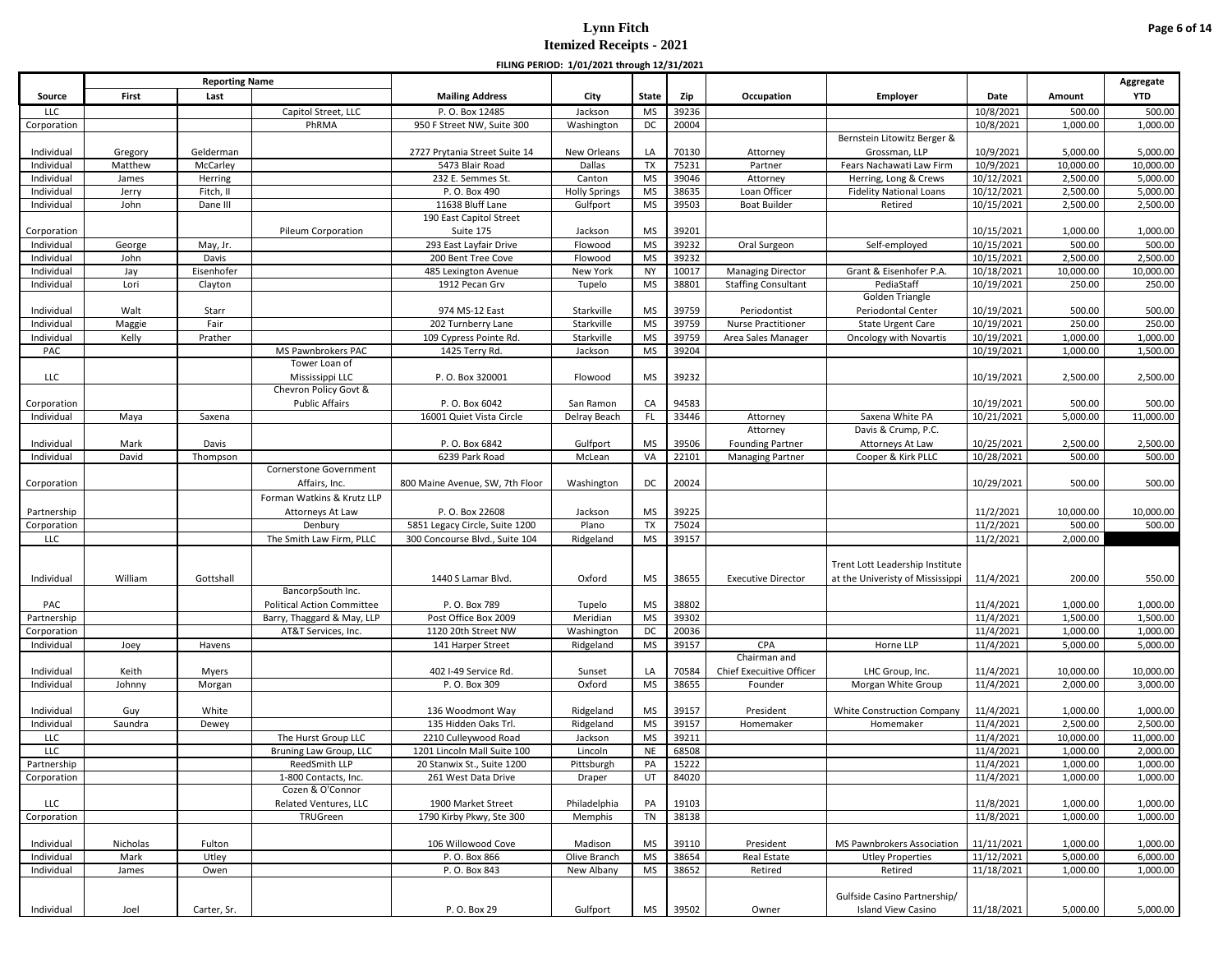|             |          |                       |                                   |                                 | FILING FLAIOD. 1/01/2021 (INOUGH 12/31/2021 |              |       |                            |                                                                     |            |           |            |
|-------------|----------|-----------------------|-----------------------------------|---------------------------------|---------------------------------------------|--------------|-------|----------------------------|---------------------------------------------------------------------|------------|-----------|------------|
|             |          | <b>Reporting Name</b> |                                   |                                 |                                             |              |       |                            |                                                                     |            |           | Aggregate  |
| Source      | First    | Last                  |                                   | <b>Mailing Address</b>          | City                                        | <b>State</b> | Zip   | Occupation                 | Employer                                                            | Date       | Amount    | <b>YTD</b> |
| <b>LLC</b>  |          |                       | Capitol Street, LLC               | P. O. Box 12485                 | Jackson                                     | MS           | 39236 |                            |                                                                     | 10/8/2021  | 500.00    | 500.00     |
| Corporation |          |                       | PhRMA                             | 950 F Street NW, Suite 300      | Washington                                  | DC           | 20004 |                            | Bernstein Litowitz Berger &                                         | 10/8/2021  | 1,000.00  | 1,000.00   |
| Individual  | Gregory  | Gelderman             |                                   | 2727 Prytania Street Suite 14   | New Orleans                                 | LA           | 70130 | Attorney                   | Grossman, LLP                                                       | 10/9/2021  | 5,000.00  | 5,000.00   |
| Individual  | Matthew  | McCarley              |                                   | 5473 Blair Road                 | Dallas                                      | <b>TX</b>    | 75231 | Partner                    | Fears Nachawati Law Firm                                            | 10/9/2021  | 10,000.00 | 10,000.00  |
| Individual  | James    | Herring               |                                   | 232 E. Semmes St.               | Canton                                      | <b>MS</b>    | 39046 | Attorney                   | Herring, Long & Crews                                               | 10/12/2021 | 2,500.00  | 5,000.00   |
| Individual  | Jerry    | Fitch, II             |                                   | P.O. Box 490                    | <b>Holly Springs</b>                        | <b>MS</b>    | 38635 | Loan Officer               | <b>Fidelity National Loans</b>                                      | 10/12/2021 | 2,500.00  | 5,000.00   |
| Individual  | John     | Dane III              |                                   | 11638 Bluff Lane                | Gulfport                                    | <b>MS</b>    | 39503 | <b>Boat Builder</b>        | Retired                                                             | 10/15/2021 | 2,500.00  | 2,500.00   |
|             |          |                       |                                   | 190 East Capitol Street         |                                             |              |       |                            |                                                                     |            |           |            |
| Corporation |          |                       | Pileum Corporation                | Suite 175                       | Jackson                                     | <b>MS</b>    | 39201 |                            |                                                                     | 10/15/2021 | 1,000.00  | 1,000.00   |
| Individual  | George   | May, Jr.              |                                   | 293 East Layfair Drive          | Flowood                                     | <b>MS</b>    | 39232 | Oral Surgeon               | Self-employed                                                       | 10/15/2021 | 500.00    | 500.00     |
| Individual  | John     | Davis                 |                                   | 200 Bent Tree Cove              | Flowood                                     | <b>MS</b>    | 39232 |                            |                                                                     | 10/15/2021 | 2,500.00  | 2,500.00   |
| Individual  | Jay      | Eisenhofer            |                                   | 485 Lexington Avenue            | New York                                    | <b>NY</b>    | 10017 | <b>Managing Director</b>   | Grant & Eisenhofer P.A.                                             | 10/18/2021 | 10,000.00 | 10,000.00  |
| Individual  | Lori     | Clayton               |                                   | 1912 Pecan Grv                  | Tupelo                                      | <b>MS</b>    | 38801 | <b>Staffing Consultant</b> | PediaStaff                                                          | 10/19/2021 | 250.00    | 250.00     |
|             |          |                       |                                   |                                 |                                             |              |       |                            | Golden Triangle                                                     |            |           |            |
| Individual  | Walt     | Starr                 |                                   | 974 MS-12 East                  | Starkville                                  | <b>MS</b>    | 39759 | Periodontist               | Periodontal Center                                                  | 10/19/2021 | 500.00    | 500.00     |
| Individual  | Maggie   | Fair                  |                                   | 202 Turnberry Lane              | Starkville                                  | <b>MS</b>    | 39759 | Nurse Practitioner         | State Urgent Care                                                   | 10/19/2021 | 250.00    | 250.00     |
| Individual  | Kelly    | Prather               |                                   | 109 Cypress Pointe Rd.          | Starkville                                  | <b>MS</b>    | 39759 | Area Sales Manager         | <b>Oncology with Novartis</b>                                       | 10/19/2021 | 1,000.00  | 1,000.00   |
| PAC         |          |                       | MS Pawnbrokers PAC                | 1425 Terry Rd.                  | Jackson                                     | <b>MS</b>    | 39204 |                            |                                                                     | 10/19/2021 | 1,000.00  | 1,500.00   |
|             |          |                       | Tower Loan of                     |                                 |                                             |              |       |                            |                                                                     |            |           |            |
| <b>LLC</b>  |          |                       | Mississippi LLC                   | P.O. Box 320001                 | Flowood                                     | MS           | 39232 |                            |                                                                     | 10/19/2021 | 2,500.00  | 2,500.00   |
|             |          |                       | Chevron Policy Govt &             |                                 |                                             |              |       |                            |                                                                     |            |           |            |
| Corporation |          |                       | <b>Public Affairs</b>             | P.O. Box 6042                   | San Ramon                                   | CA           | 94583 |                            |                                                                     | 10/19/2021 | 500.00    | 500.00     |
| Individual  | Maya     | Saxena                |                                   | 16001 Quiet Vista Circle        | Delray Beach                                | FL           | 33446 | Attorney                   | Saxena White PA                                                     | 10/21/2021 | 5,000.00  | 11,000.00  |
|             |          |                       |                                   |                                 |                                             |              |       | Attorney                   | Davis & Crump, P.C.                                                 |            |           |            |
| Individual  | Mark     | Davis                 |                                   | P.O. Box 6842                   | Gulfport                                    | <b>MS</b>    | 39506 | <b>Founding Partner</b>    | Attorneys At Law                                                    | 10/25/2021 | 2,500.00  | 2,500.00   |
| Individual  | David    | Thompson              |                                   | 6239 Park Road                  | McLean                                      | VA           | 22101 | <b>Managing Partner</b>    | Cooper & Kirk PLLC                                                  | 10/28/2021 | 500.00    | 500.00     |
|             |          |                       | Cornerstone Government            |                                 |                                             |              |       |                            |                                                                     |            |           |            |
| Corporation |          |                       | Affairs, Inc.                     | 800 Maine Avenue, SW, 7th Floor | Washington                                  | DC           | 20024 |                            |                                                                     | 10/29/2021 | 500.00    | 500.00     |
|             |          |                       | Forman Watkins & Krutz LLP        |                                 |                                             |              |       |                            |                                                                     |            |           |            |
| Partnership |          |                       | Attorneys At Law                  | P.O. Box 22608                  | Jackson                                     | <b>MS</b>    | 39225 |                            |                                                                     | 11/2/2021  | 10,000.00 | 10,000.00  |
| Corporation |          |                       | Denbury                           | 5851 Legacy Circle, Suite 1200  | Plano                                       | <b>TX</b>    | 75024 |                            |                                                                     | 11/2/2021  | 500.00    | 500.00     |
| LLC         |          |                       | The Smith Law Firm, PLLC          | 300 Concourse Blvd., Suite 104  | Ridgeland                                   | <b>MS</b>    | 39157 |                            |                                                                     | 11/2/2021  | 2,000.00  |            |
|             |          |                       |                                   |                                 |                                             |              |       |                            |                                                                     |            |           |            |
|             | William  | Gottshall             |                                   | 1440 S Lamar Blvd.              | Oxford                                      | MS           | 38655 | <b>Executive Director</b>  | Trent Lott Leadership Institute<br>at the Univeristy of Mississippi | 11/4/2021  | 200.00    | 550.00     |
| Individual  |          |                       | BancorpSouth Inc.                 |                                 |                                             |              |       |                            |                                                                     |            |           |            |
| PAC         |          |                       | <b>Political Action Committee</b> | P.O. Box 789                    | Tupelo                                      | <b>MS</b>    | 38802 |                            |                                                                     | 11/4/2021  | 1,000.00  | 1,000.00   |
| Partnership |          |                       | Barry, Thaggard & May, LLP        | Post Office Box 2009            | Meridian                                    | <b>MS</b>    | 39302 |                            |                                                                     | 11/4/2021  | 1,500.00  | 1,500.00   |
| Corporation |          |                       | AT&T Services, Inc.               | 1120 20th Street NW             | Washington                                  | DC           | 20036 |                            |                                                                     | 11/4/2021  | 1,000.00  | 1,000.00   |
| Individual  | Joey     | Havens                |                                   | 141 Harper Street               | Ridgeland                                   | <b>MS</b>    | 39157 | CPA                        | Horne LLP                                                           | 11/4/2021  | 5,000.00  | 5,000.00   |
|             |          |                       |                                   |                                 |                                             |              |       | Chairman and               |                                                                     |            |           |            |
| Individual  | Keith    | Myers                 |                                   | 402 I-49 Service Rd.            | Sunset                                      | LA           | 70584 | Chief Execuitive Officer   | LHC Group, Inc.                                                     | 11/4/2021  | 10,000.00 | 10,000.00  |
| Individual  | Johnny   | Morgan                |                                   | P.O. Box 309                    | Oxford                                      | <b>MS</b>    | 38655 | Founder                    | Morgan White Group                                                  | 11/4/2021  | 2,000.00  | 3,000.00   |
|             |          |                       |                                   |                                 |                                             |              |       |                            |                                                                     |            |           |            |
| Individual  | Guy      | White                 |                                   | 136 Woodmont Way                | Ridgeland                                   | MS           | 39157 | President                  | White Construction Company                                          | 11/4/2021  | 1,000.00  | 1,000.00   |
| Individual  | Saundra  | Dewey                 |                                   | 135 Hidden Oaks Trl.            | Ridgeland                                   | <b>MS</b>    | 39157 | Homemaker                  | Homemaker                                                           | 11/4/2021  | 2,500.00  | 2,500.00   |
| LLC         |          |                       | The Hurst Group LLC               | 2210 Culleywood Road            | Jackson                                     | <b>MS</b>    | 39211 |                            |                                                                     | 11/4/2021  | 10,000.00 | 11,000.00  |
| LLC         |          |                       | Bruning Law Group, LLC            | 1201 Lincoln Mall Suite 100     | Lincoln                                     | <b>NE</b>    | 68508 |                            |                                                                     | 11/4/2021  | 1,000.00  | 2,000.00   |
| Partnership |          |                       | ReedSmith LLP                     | 20 Stanwix St., Suite 1200      | Pittsburgh                                  | PA           | 15222 |                            |                                                                     | 11/4/2021  | 1,000.00  | 1,000.00   |
| Corporation |          |                       | 1-800 Contacts, Inc.              | 261 West Data Drive             | Draper                                      | UT           | 84020 |                            |                                                                     | 11/4/2021  | 1,000.00  | 1,000.00   |
|             |          |                       | Cozen & O'Connor                  |                                 |                                             |              |       |                            |                                                                     |            |           |            |
| LLC         |          |                       | Related Ventures, LLC             | 1900 Market Street              | Philadelphia                                | PA           | 19103 |                            |                                                                     | 11/8/2021  | 1,000.00  | 1,000.00   |
| Corporation |          |                       | TRUGreen                          | 1790 Kirby Pkwy, Ste 300        | Memphis                                     | TN           | 38138 |                            |                                                                     | 11/8/2021  | 1,000.00  | 1,000.00   |
|             |          |                       |                                   |                                 |                                             |              |       |                            |                                                                     |            |           |            |
| Individual  | Nicholas | Fulton                |                                   | 106 Willowood Cove              | Madison                                     | <b>MS</b>    | 39110 | President                  | MS Pawnbrokers Association                                          | 11/11/2021 | 1,000.00  | 1,000.00   |
| Individual  | Mark     | Utley                 |                                   | P.O. Box 866                    | Olive Branch                                | <b>MS</b>    | 38654 | Real Estate                | <b>Utley Properties</b>                                             | 11/12/2021 | 5,000.00  | 6,000.00   |
| Individual  | James    | Owen                  |                                   | P.O. Box 843                    | New Albany                                  | MS           | 38652 | Retired                    | Retired                                                             | 11/18/2021 | 1,000.00  | 1,000.00   |
|             |          |                       |                                   |                                 |                                             |              |       |                            |                                                                     |            |           |            |
|             |          |                       |                                   |                                 |                                             |              |       |                            | Gulfside Casino Partnership/                                        |            |           |            |
| Individual  | Joel     | Carter, Sr.           |                                   | P. O. Box 29                    | Gulfport                                    | <b>MS</b>    | 39502 | Owner                      | Island View Casino                                                  | 11/18/2021 | 5,000.00  | 5,000.00   |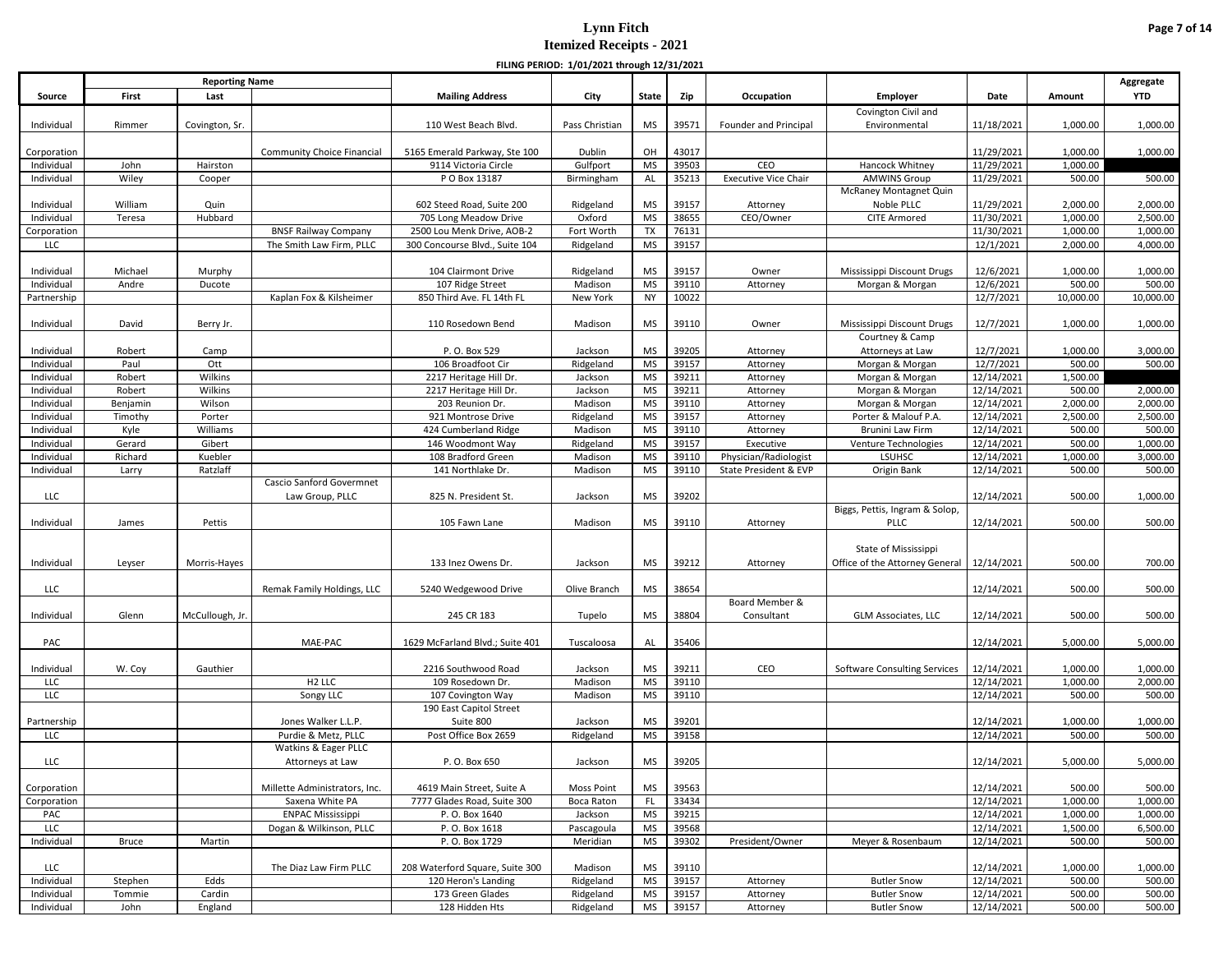|                           |          |                       |                                   |                                                       | FILING PENIOD. 1/01/2021 (IIIOUGII 12/31/2021 |           |       |                             |                                             |                          |           |            |
|---------------------------|----------|-----------------------|-----------------------------------|-------------------------------------------------------|-----------------------------------------------|-----------|-------|-----------------------------|---------------------------------------------|--------------------------|-----------|------------|
|                           |          | <b>Reporting Name</b> |                                   |                                                       |                                               |           |       |                             |                                             |                          |           | Aggregate  |
| Source                    | First    | Last                  |                                   | <b>Mailing Address</b>                                | City                                          | State     | Zip   | Occupation                  | <b>Employer</b>                             | Date                     | Amount    | <b>YTD</b> |
|                           |          |                       |                                   |                                                       |                                               |           |       |                             | Covington Civil and                         |                          |           |            |
| Individual                | Rimmer   | Covington, Sr.        |                                   | 110 West Beach Blvd.                                  | Pass Christian                                | <b>MS</b> | 39571 | Founder and Principal       | Environmental                               | 11/18/2021               | 1,000.00  | 1,000.00   |
|                           |          |                       |                                   |                                                       | Dublin                                        | OH        | 43017 |                             |                                             |                          | 1,000.00  |            |
| Corporation<br>Individual | John     | Hairston              | <b>Community Choice Financial</b> | 5165 Emerald Parkway, Ste 100<br>9114 Victoria Circle | Gulfport                                      | <b>MS</b> | 39503 | CEO                         | Hancock Whitney                             | 11/29/2021<br>11/29/2021 | 1,000.00  | 1,000.00   |
| Individual                | Wiley    | Cooper                |                                   | P O Box 13187                                         | Birmingham                                    | AL        | 35213 | <b>Executive Vice Chair</b> | <b>AMWINS Group</b>                         | 11/29/2021               | 500.00    | 500.00     |
|                           |          |                       |                                   |                                                       |                                               |           |       |                             | McRaney Montagnet Quin                      |                          |           |            |
| Individual                | William  | Quin                  |                                   | 602 Steed Road, Suite 200                             | Ridgeland                                     | <b>MS</b> | 39157 | Attorney                    | Noble PLLC                                  | 11/29/2021               | 2,000.00  | 2,000.00   |
| Individual                | Teresa   | Hubbard               |                                   | 705 Long Meadow Drive                                 | Oxford                                        | <b>MS</b> | 38655 | CEO/Owner                   | <b>CITE Armored</b>                         | 11/30/2021               | 1,000.00  | 2,500.00   |
| Corporation               |          |                       | <b>BNSF Railway Company</b>       | 2500 Lou Menk Drive, AOB-2                            | Fort Worth                                    | TX        | 76131 |                             |                                             | 11/30/2021               | 1,000.00  | 1,000.00   |
| <b>LLC</b>                |          |                       | The Smith Law Firm, PLLC          | 300 Concourse Blvd., Suite 104                        | Ridgeland                                     | <b>MS</b> | 39157 |                             |                                             | 12/1/2021                | 2,000.00  | 4,000.00   |
|                           |          |                       |                                   |                                                       |                                               |           |       |                             |                                             |                          |           |            |
| Individual                | Michael  | Murphy                |                                   | 104 Clairmont Drive                                   | Ridgeland                                     | <b>MS</b> | 39157 | Owner                       | Mississippi Discount Drugs                  | 12/6/2021                | 1,000.00  | 1,000.00   |
| Individual                | Andre    | Ducote                |                                   | 107 Ridge Street                                      | Madison                                       | <b>MS</b> | 39110 | Attorney                    | Morgan & Morgan                             | 12/6/2021                | 500.00    | 500.00     |
| Partnership               |          |                       | Kaplan Fox & Kilsheimer           | 850 Third Ave. FL 14th FL                             | New York                                      | NY        | 10022 |                             |                                             | 12/7/2021                | 10,000.00 | 10,000.00  |
|                           |          |                       |                                   |                                                       |                                               |           |       |                             |                                             |                          |           |            |
| Individual                | David    | Berry Jr.             |                                   | 110 Rosedown Bend                                     | Madison                                       | <b>MS</b> | 39110 | Owner                       | Mississippi Discount Drugs                  | 12/7/2021                | 1,000.00  | 1,000.00   |
|                           |          |                       |                                   |                                                       |                                               |           |       |                             | Courtney & Camp                             |                          |           |            |
| Individual                | Robert   | Camp                  |                                   | P.O. Box 529                                          | Jackson                                       | <b>MS</b> | 39205 | Attorney                    | Attorneys at Law                            | 12/7/2021                | 1,000.00  | 3,000.00   |
| Individual                | Paul     | Ott                   |                                   | 106 Broadfoot Cir                                     | Ridgeland                                     | <b>MS</b> | 39157 | Attorney                    | Morgan & Morgan                             | 12/7/2021                | 500.00    | 500.00     |
| Individual                | Robert   | Wilkins               |                                   | 2217 Heritage Hill Dr.                                | Jackson                                       | <b>MS</b> | 39211 | Attorney                    | Morgan & Morgan                             | 12/14/2021               | 1,500.00  |            |
| Individual                | Robert   | Wilkins               |                                   | 2217 Heritage Hill Dr.                                | Jackson                                       | <b>MS</b> | 39211 | Attorney                    | Morgan & Morgan                             | 12/14/2021               | 500.00    | 2,000.00   |
| Individual                | Benjamin | Wilson                |                                   | 203 Reunion Dr.                                       | Madison                                       | <b>MS</b> | 39110 | Attorney                    | Morgan & Morgan                             | 12/14/2021               | 2,000.00  | 2,000.00   |
| Individual                | Timothy  | Porter                |                                   | 921 Montrose Drive                                    | Ridgeland                                     | <b>MS</b> | 39157 | Attorney                    | Porter & Malouf P.A.                        | 12/14/2021               | 2,500.00  | 2,500.00   |
| Individual                | Kyle     | Williams              |                                   | 424 Cumberland Ridge                                  | Madison                                       | <b>MS</b> | 39110 | Attorney                    | Brunini Law Firm                            | 12/14/2021               | 500.00    | 500.00     |
| Individual                | Gerard   | Gibert                |                                   | 146 Woodmont Way                                      | Ridgeland                                     | <b>MS</b> | 39157 | Executive                   | Venture Technologies                        | 12/14/2021               | 500.00    | 1,000.00   |
| Individual                | Richard  | Kuebler               |                                   | 108 Bradford Green                                    | Madison                                       | <b>MS</b> | 39110 | Physician/Radiologist       | <b>LSUHSC</b>                               | 12/14/2021               | 1,000.00  | 3,000.00   |
| Individual                | Larry    | Ratzlaff              |                                   | 141 Northlake Dr.                                     | Madison                                       | <b>MS</b> | 39110 | State President & EVP       | Origin Bank                                 | 12/14/2021               | 500.00    | 500.00     |
|                           |          |                       | Cascio Sanford Govermnet          |                                                       |                                               |           |       |                             |                                             |                          |           |            |
| LLC                       |          |                       | Law Group, PLLC                   | 825 N. President St.                                  | Jackson                                       | <b>MS</b> | 39202 |                             |                                             | 12/14/2021               | 500.00    | 1,000.00   |
|                           |          |                       |                                   |                                                       |                                               |           |       |                             | Biggs, Pettis, Ingram & Solop,              |                          |           |            |
| Individual                | James    | Pettis                |                                   | 105 Fawn Lane                                         | Madison                                       | MS        | 39110 | Attorney                    | <b>PLLC</b>                                 | 12/14/2021               | 500.00    | 500.00     |
|                           |          |                       |                                   |                                                       |                                               |           |       |                             |                                             |                          |           |            |
|                           |          |                       |                                   |                                                       |                                               |           |       |                             | State of Mississippi                        |                          |           |            |
| Individual                | Leyser   | Morris-Hayes          |                                   | 133 Inez Owens Dr.                                    | Jackson                                       | <b>MS</b> | 39212 | Attorney                    | Office of the Attorney General   12/14/2021 |                          | 500.00    | 700.00     |
|                           |          |                       |                                   |                                                       |                                               |           |       |                             |                                             |                          |           |            |
| LLC                       |          |                       | Remak Family Holdings, LLC        | 5240 Wedgewood Drive                                  | Olive Branch                                  | <b>MS</b> | 38654 |                             |                                             | 12/14/2021               | 500.00    | 500.00     |
|                           |          |                       |                                   |                                                       |                                               |           |       | Board Member &              |                                             |                          |           |            |
| Individual                | Glenn    | McCullough, Jr.       |                                   | 245 CR 183                                            | Tupelo                                        | MS        | 38804 | Consultant                  | <b>GLM Associates, LLC</b>                  | 12/14/2021               | 500.00    | 500.00     |
|                           |          |                       |                                   |                                                       |                                               |           |       |                             |                                             |                          |           |            |
| PAC                       |          |                       | MAE-PAC                           | 1629 McFarland Blvd.; Suite 401                       | Tuscaloosa                                    | AL        | 35406 |                             |                                             | 12/14/2021               | 5,000.00  | 5,000.00   |
|                           |          |                       |                                   |                                                       |                                               |           |       |                             |                                             |                          |           |            |
| Individual                | W. Coy   | Gauthier              |                                   | 2216 Southwood Road                                   | Jackson                                       | <b>MS</b> | 39211 | CEO                         | Software Consulting Services                | 12/14/2021               | 1,000.00  | 1,000.00   |
| LLC                       |          |                       | H <sub>2</sub> LLC                | 109 Rosedown Dr.                                      | Madison                                       | <b>MS</b> | 39110 |                             |                                             | 12/14/2021               | 1,000.00  | 2,000.00   |
| <b>LLC</b>                |          |                       | Songy LLC                         | 107 Covington Way                                     | Madison                                       | <b>MS</b> | 39110 |                             |                                             | 12/14/2021               | 500.00    | 500.00     |
|                           |          |                       |                                   | 190 East Capitol Street                               |                                               |           |       |                             |                                             |                          |           |            |
| Partnership               |          |                       | Jones Walker L.L.P.               | Suite 800                                             | Jackson                                       | <b>MS</b> | 39201 |                             |                                             | 12/14/2021               | 1,000.00  | 1,000.00   |
| <b>LLC</b>                |          |                       | Purdie & Metz, PLLC               | Post Office Box 2659                                  | Ridgeland                                     | <b>MS</b> | 39158 |                             |                                             | 12/14/2021               | 500.00    | 500.00     |
|                           |          |                       | Watkins & Eager PLLC              |                                                       |                                               |           |       |                             |                                             |                          |           |            |
| <b>LLC</b>                |          |                       | Attorneys at Law                  | P. O. Box 650                                         | Jackson                                       | <b>MS</b> | 39205 |                             |                                             | 12/14/2021               | 5,000.00  | 5,000.00   |
|                           |          |                       |                                   |                                                       |                                               |           |       |                             |                                             |                          |           |            |
| Corporation               |          |                       | Millette Administrators, Inc.     | 4619 Main Street, Suite A                             | <b>Moss Point</b>                             | <b>MS</b> | 39563 |                             |                                             | 12/14/2021               | 500.00    | 500.00     |
| Corporation               |          |                       | Saxena White PA                   | 7777 Glades Road, Suite 300                           | Boca Raton                                    | FL        | 33434 |                             |                                             | 12/14/2021               | 1,000.00  | 1,000.00   |
| PAC                       |          |                       | <b>ENPAC Mississippi</b>          | P.O. Box 1640                                         | Jackson                                       | <b>MS</b> | 39215 |                             |                                             | 12/14/2021               | 1,000.00  | 1,000.00   |
| <b>LLC</b>                |          |                       | Dogan & Wilkinson, PLLC           | P.O. Box 1618                                         | Pascagoula                                    | <b>MS</b> | 39568 |                             |                                             | 12/14/2021               | 1,500.00  | 6,500.00   |
| Individual                | Bruce    | Martin                |                                   | P.O. Box 1729                                         | Meridian                                      | <b>MS</b> | 39302 | President/Owner             | Meyer & Rosenbaum                           | 12/14/2021               | 500.00    | 500.00     |
|                           |          |                       |                                   |                                                       |                                               |           |       |                             |                                             |                          |           |            |
| LLC                       |          |                       | The Diaz Law Firm PLLC            | 208 Waterford Square, Suite 300                       | Madison                                       | <b>MS</b> | 39110 |                             |                                             | 12/14/2021               | 1,000.00  | 1,000.00   |
| Individual                | Stephen  | Edds                  |                                   | 120 Heron's Landing                                   | Ridgeland                                     | <b>MS</b> | 39157 | Attorney                    | <b>Butler Snow</b>                          | 12/14/2021               | 500.00    | 500.00     |
| Individual                | Tommie   | Cardin                |                                   | 173 Green Glades                                      | Ridgeland                                     | <b>MS</b> | 39157 | Attorney                    | <b>Butler Snow</b>                          | 12/14/2021               | 500.00    | 500.00     |
| Individual                | John     | England               |                                   | 128 Hidden Hts                                        | Ridgeland                                     | MS        | 39157 | Attorney                    | <b>Butler Snow</b>                          | 12/14/2021               | 500.00    | 500.00     |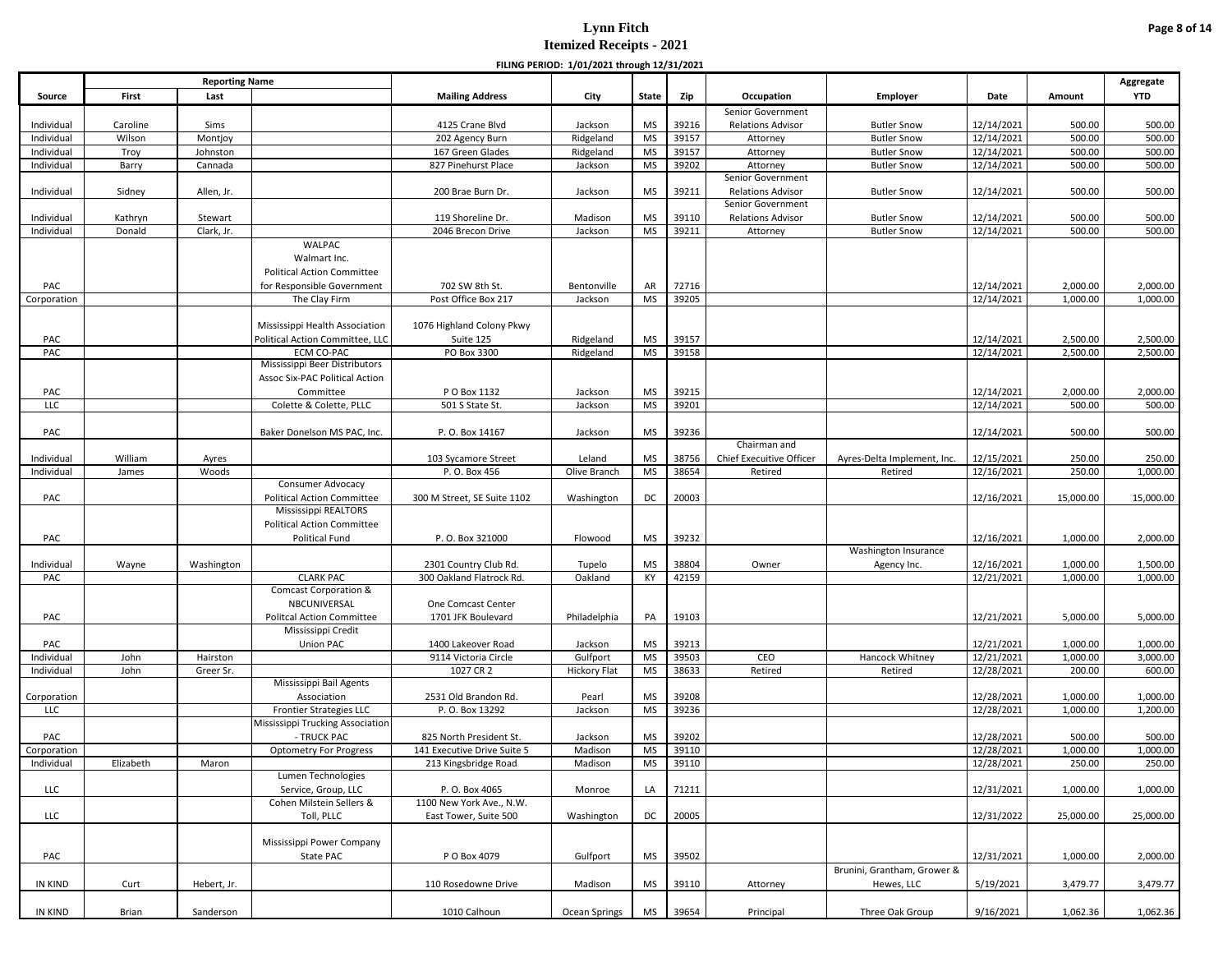|                    |           |                       |                                                    |                                                        | FILING PERIOD: 1/01/2021 through 12/31/2021 |                        |                |                          |                             |                          |                    |                    |
|--------------------|-----------|-----------------------|----------------------------------------------------|--------------------------------------------------------|---------------------------------------------|------------------------|----------------|--------------------------|-----------------------------|--------------------------|--------------------|--------------------|
|                    |           | <b>Reporting Name</b> |                                                    |                                                        |                                             |                        |                |                          |                             |                          |                    | Aggregate          |
| Source             | First     | Last                  |                                                    | <b>Mailing Address</b>                                 | City                                        | State                  | Zip            | Occupation               | Employer                    | Date                     | Amount             | <b>YTD</b>         |
|                    |           |                       |                                                    |                                                        |                                             |                        |                | Senior Government        |                             |                          |                    |                    |
| Individual         | Caroline  | Sims                  |                                                    | 4125 Crane Blvd                                        | Jackson                                     | MS                     | 39216          | <b>Relations Advisor</b> | <b>Butler Snow</b>          | 12/14/2021               | 500.00             | 500.00             |
| Individual         | Wilson    | Montjoy               |                                                    | 202 Agency Burn                                        | Ridgeland                                   | <b>MS</b>              | 39157          | Attorney                 | <b>Butler Snow</b>          | 12/14/2021               | 500.00             | 500.00             |
| Individual         | Troy      | Johnston              |                                                    | 167 Green Glades                                       | Ridgeland                                   | <b>MS</b>              | 39157          | Attorney                 | <b>Butler Snow</b>          | 12/14/2021               | 500.00             | 500.00             |
| Individual         | Barry     | Cannada               |                                                    | 827 Pinehurst Place                                    | Jackson                                     | <b>MS</b>              | 39202          | Attorney                 | <b>Butler Snow</b>          | 12/14/2021               | 500.00             | 500.00             |
|                    |           |                       |                                                    |                                                        |                                             |                        |                | Senior Government        |                             |                          |                    |                    |
| Individual         | Sidney    | Allen, Jr.            |                                                    | 200 Brae Burn Dr.                                      | Jackson                                     | <b>MS</b>              | 39211          | <b>Relations Advisor</b> | <b>Butler Snow</b>          | 12/14/2021               | 500.00             | 500.00             |
|                    |           |                       |                                                    |                                                        |                                             |                        |                | Senior Government        |                             |                          |                    |                    |
| Individual         | Kathryn   | Stewart               |                                                    | 119 Shoreline Dr.                                      | Madison                                     | <b>MS</b>              | 39110          | <b>Relations Advisor</b> | <b>Butler Snow</b>          | 12/14/2021               | 500.00             | 500.00             |
| Individual         | Donald    | Clark, Jr.            | WALPAC                                             | 2046 Brecon Drive                                      | Jackson                                     | <b>MS</b>              | 39211          | Attorney                 | <b>Butler Snow</b>          | 12/14/2021               | 500.00             | 500.00             |
|                    |           |                       | Walmart Inc.                                       |                                                        |                                             |                        |                |                          |                             |                          |                    |                    |
|                    |           |                       | <b>Political Action Committee</b>                  |                                                        |                                             |                        |                |                          |                             |                          |                    |                    |
| PAC                |           |                       | for Responsible Government                         | 702 SW 8th St.                                         | Bentonville                                 | AR                     | 72716          |                          |                             | 12/14/2021               | 2,000.00           | 2,000.00           |
| Corporation        |           |                       | The Clay Firm                                      | Post Office Box 217                                    | Jackson                                     | MS                     | 39205          |                          |                             | 12/14/2021               | 1,000.00           | 1,000.00           |
|                    |           |                       |                                                    |                                                        |                                             |                        |                |                          |                             |                          |                    |                    |
|                    |           |                       | Mississippi Health Association                     | 1076 Highland Colony Pkwy                              |                                             |                        |                |                          |                             |                          |                    |                    |
| PAC                |           |                       | Political Action Committee, LLC                    | Suite 125                                              | Ridgeland                                   | <b>MS</b>              | 39157          |                          |                             | 12/14/2021               | 2,500.00           | 2,500.00           |
| PAC                |           |                       | ECM CO-PAC                                         | PO Box 3300                                            | Ridgeland                                   | MS                     | 39158          |                          |                             | 12/14/2021               | 2,500.00           | 2,500.00           |
|                    |           |                       | Mississippi Beer Distributors                      |                                                        |                                             |                        |                |                          |                             |                          |                    |                    |
|                    |           |                       | Assoc Six-PAC Political Action                     |                                                        |                                             |                        |                |                          |                             |                          |                    |                    |
| PAC                |           |                       | Committee                                          | P O Box 1132                                           | Jackson                                     | <b>MS</b>              | 39215          |                          |                             | 12/14/2021               | 2,000.00           | 2,000.00           |
| LLC                |           |                       | Colette & Colette, PLLC                            | 501 S State St.                                        | Jackson                                     | <b>MS</b>              | 39201          |                          |                             | 12/14/2021               | 500.00             | 500.00             |
|                    |           |                       |                                                    |                                                        |                                             |                        |                |                          |                             |                          |                    |                    |
| PAC                |           |                       | Baker Donelson MS PAC, Inc.                        | P.O. Box 14167                                         | Jackson                                     | <b>MS</b>              | 39236          |                          |                             | 12/14/2021               | 500.00             | 500.00             |
|                    |           |                       |                                                    |                                                        |                                             |                        |                | Chairman and             |                             |                          |                    |                    |
| Individual         | William   | Ayres                 |                                                    | 103 Sycamore Street                                    | Leland                                      | <b>MS</b>              | 38756          | Chief Execuitive Officer | Ayres-Delta Implement, Inc. | 12/15/2021               | 250.00             | 250.00             |
| Individual         | James     | Woods                 |                                                    | P. O. Box 456                                          | Olive Branch                                | <b>MS</b>              | 38654          | Retired                  | Retired                     | 12/16/2021               | 250.00             | 1,000.00           |
|                    |           |                       | Consumer Advocacy                                  |                                                        |                                             |                        |                |                          |                             |                          |                    |                    |
| PAC                |           |                       | Political Action Committee<br>Mississippi REALTORS | 300 M Street, SE Suite 1102                            | Washington                                  | DC                     | 20003          |                          |                             | 12/16/2021               | 15,000.00          | 15,000.00          |
|                    |           |                       | Political Action Committee                         |                                                        |                                             |                        |                |                          |                             |                          |                    |                    |
| PAC                |           |                       | Political Fund                                     | P.O. Box 321000                                        | Flowood                                     | MS                     | 39232          |                          |                             | 12/16/2021               | 1,000.00           | 2,000.00           |
|                    |           |                       |                                                    |                                                        |                                             |                        |                |                          | Washington Insurance        |                          |                    |                    |
| Individual         | Wayne     | Washington            |                                                    | 2301 Country Club Rd.                                  | Tupelo                                      | <b>MS</b>              | 38804          | Owner                    | Agency Inc.                 | 12/16/2021               | 1,000.00           | 1,500.00           |
| PAC                |           |                       | <b>CLARK PAC</b>                                   | 300 Oakland Flatrock Rd.                               | Oakland                                     | KY                     | 42159          |                          |                             | 12/21/2021               | 1,000.00           | 1,000.00           |
|                    |           |                       | Comcast Corporation &                              |                                                        |                                             |                        |                |                          |                             |                          |                    |                    |
|                    |           |                       | NBCUNIVERSAL                                       | One Comcast Center                                     |                                             |                        |                |                          |                             |                          |                    |                    |
| PAC                |           |                       | <b>Politcal Action Committee</b>                   | 1701 JFK Boulevard                                     | Philadelphia                                | PA                     | 19103          |                          |                             | 12/21/2021               | 5,000.00           | 5,000.00           |
|                    |           |                       | Mississippi Credit                                 |                                                        |                                             |                        |                |                          |                             |                          |                    |                    |
| PAC                |           |                       | Union PAC                                          | 1400 Lakeover Road                                     | Jackson                                     | <b>MS</b>              | 39213          |                          |                             | 12/21/2021               | 1,000.00           | 1,000.00           |
| Individual         | John      | Hairston              |                                                    | 9114 Victoria Circle                                   | Gulfport                                    | <b>MS</b>              | 39503          | CEO                      | Hancock Whitney             | 12/21/2021               | 1,000.00           | 3,000.00           |
| Individual         | John      | Greer Sr.             |                                                    | 1027 CR 2                                              | <b>Hickory Flat</b>                         | <b>MS</b>              | 38633          | Retired                  | Retired                     | 12/28/2021               | 200.00             | 600.00             |
|                    |           |                       | Mississippi Bail Agents                            |                                                        |                                             |                        |                |                          |                             |                          |                    |                    |
| Corporation        |           |                       | Association                                        | 2531 Old Brandon Rd.                                   | Pearl                                       | <b>MS</b>              | 39208          |                          |                             | 12/28/2021               | 1,000.00           | 1,000.00           |
| LLC                |           |                       | <b>Frontier Strategies LLC</b>                     | P.O. Box 13292                                         | Jackson                                     | <b>MS</b>              | 39236          |                          |                             | 12/28/2021               | 1,000.00           | 1,200.00           |
|                    |           |                       | Mississippi Trucking Association                   |                                                        |                                             |                        |                |                          |                             |                          |                    |                    |
| PAC<br>Corporation |           |                       | - TRUCK PAC<br><b>Optometry For Progress</b>       | 825 North President St.<br>141 Executive Drive Suite 5 | Jackson<br>Madison                          | <b>MS</b><br><b>MS</b> | 39202<br>39110 |                          |                             | 12/28/2021<br>12/28/2021 | 500.00<br>1,000.00 | 500.00<br>1,000.00 |
| Individual         | Elizabeth | Maron                 |                                                    | 213 Kingsbridge Road                                   | Madison                                     | MS                     | 39110          |                          |                             | 12/28/2021               | 250.00             | 250.00             |
|                    |           |                       | Lumen Technologies                                 |                                                        |                                             |                        |                |                          |                             |                          |                    |                    |
| LLC                |           |                       | Service, Group, LLC                                | P.O. Box 4065                                          | Monroe                                      | LA                     | 71211          |                          |                             | 12/31/2021               | 1,000.00           | 1,000.00           |
|                    |           |                       | Cohen Milstein Sellers &                           | 1100 New York Ave., N.W.                               |                                             |                        |                |                          |                             |                          |                    |                    |
| LLC                |           |                       | Toll, PLLC                                         | East Tower, Suite 500                                  | Washington                                  | DC                     | 20005          |                          |                             | 12/31/2022               | 25,000.00          | 25,000.00          |
|                    |           |                       |                                                    |                                                        |                                             |                        |                |                          |                             |                          |                    |                    |
|                    |           |                       | Mississippi Power Company                          |                                                        |                                             |                        |                |                          |                             |                          |                    |                    |
| PAC                |           |                       | State PAC                                          | P O Box 4079                                           | Gulfport                                    | MS                     | 39502          |                          |                             | 12/31/2021               | 1,000.00           | 2,000.00           |
|                    |           |                       |                                                    |                                                        |                                             |                        |                |                          | Brunini, Grantham, Grower & |                          |                    |                    |
| IN KIND            | Curt      | Hebert, Jr.           |                                                    | 110 Rosedowne Drive                                    | Madison                                     | MS                     | 39110          | Attorney                 | Hewes, LLC                  | 5/19/2021                | 3,479.77           | 3,479.77           |
|                    |           |                       |                                                    |                                                        |                                             |                        |                |                          |                             |                          |                    |                    |
| IN KIND            | Brian     | Sanderson             |                                                    | 1010 Calhoun                                           | Ocean Springs                               | MS                     | 39654          | Principal                | Three Oak Group             | 9/16/2021                | 1,062.36           | 1,062.36           |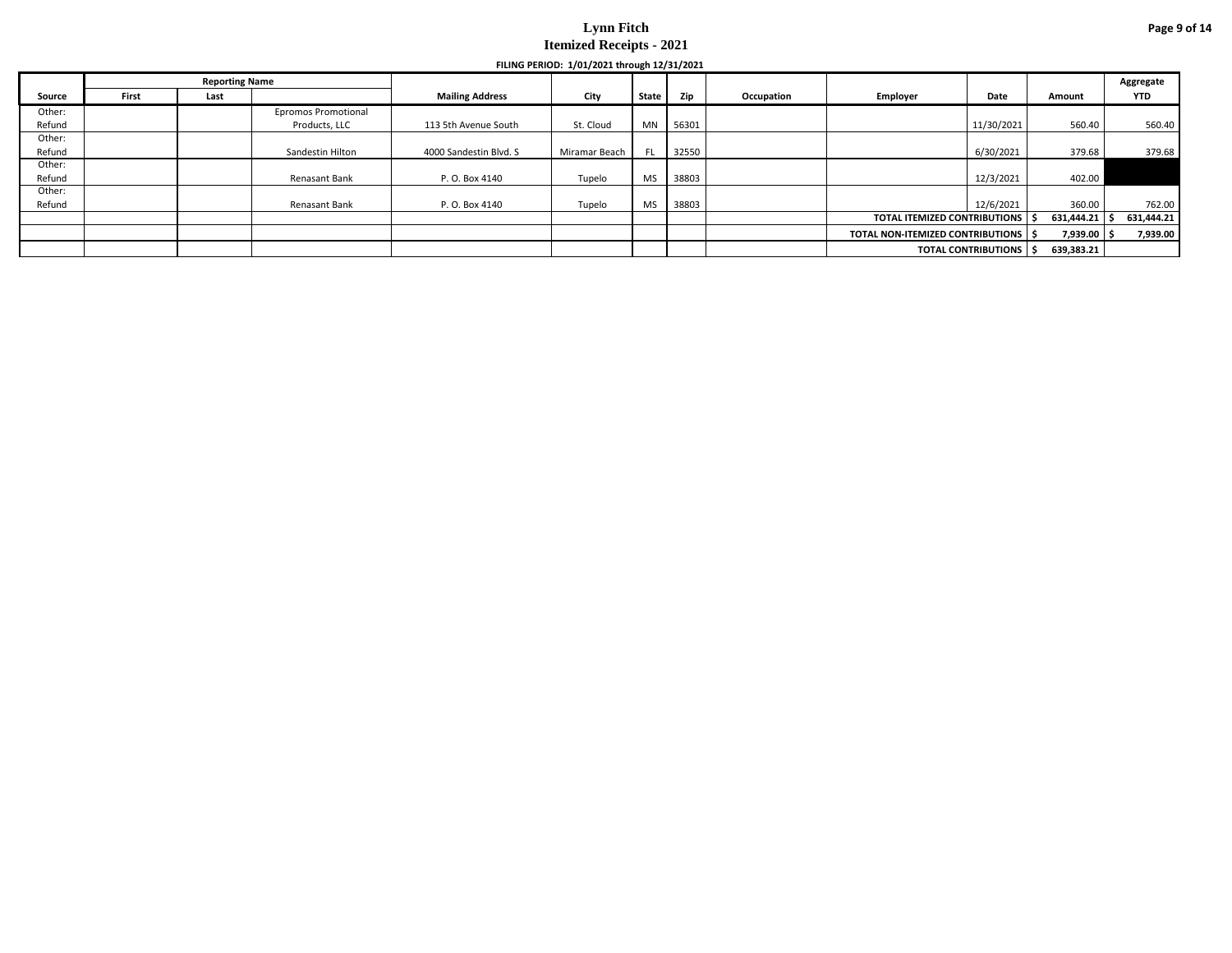|        |       |                       |                            |                        | FILING PERIOD: 1/01/2021 through 12/31/2021 |           |       |            |                                              |            |            |            |
|--------|-------|-----------------------|----------------------------|------------------------|---------------------------------------------|-----------|-------|------------|----------------------------------------------|------------|------------|------------|
|        |       | <b>Reporting Name</b> |                            |                        |                                             |           |       |            |                                              |            |            | Aggregate  |
| Source | First | Last                  |                            | <b>Mailing Address</b> | City                                        | State     | Zip   | Occupation | Employer                                     | Date       | Amount     | <b>YTD</b> |
| Other: |       |                       | <b>Epromos Promotional</b> |                        |                                             |           |       |            |                                              |            |            |            |
| Refund |       |                       | Products, LLC              | 113 5th Avenue South   | St. Cloud                                   | <b>MN</b> | 56301 |            |                                              | 11/30/2021 | 560.40     | 560.40     |
| Other: |       |                       |                            |                        |                                             |           |       |            |                                              |            |            |            |
| Refund |       |                       | Sandestin Hilton           | 4000 Sandestin Blvd. S | Miramar Beach                               | FL.       | 32550 |            | 6/30/2021                                    |            | 379.68     | 379.68     |
| Other: |       |                       |                            |                        |                                             |           |       |            |                                              |            |            |            |
| Refund |       |                       | Renasant Bank              | P. O. Box 4140         | Tupelo                                      | <b>MS</b> | 38803 |            |                                              | 12/3/2021  | 402.00     |            |
| Other: |       |                       |                            |                        |                                             |           |       |            |                                              |            |            |            |
| Refund |       |                       | Renasant Bank              | P. O. Box 4140         | Tupelo                                      | <b>MS</b> | 38803 |            |                                              | 12/6/2021  | 360.00     | 762.00     |
|        |       |                       |                            |                        |                                             |           |       |            | TOTAL ITEMIZED CONTRIBUTIONS                 |            | 631,444.21 | 631,444.21 |
|        |       |                       |                            |                        |                                             |           |       |            | <b>TOTAL NON-ITEMIZED CONTRIBUTIONS   \$</b> |            | 7,939.00   | 7,939.00   |
|        |       |                       |                            |                        |                                             |           |       |            | <b>TOTAL CONTRIBUTIONS IS</b>                |            | 639,383.21 |            |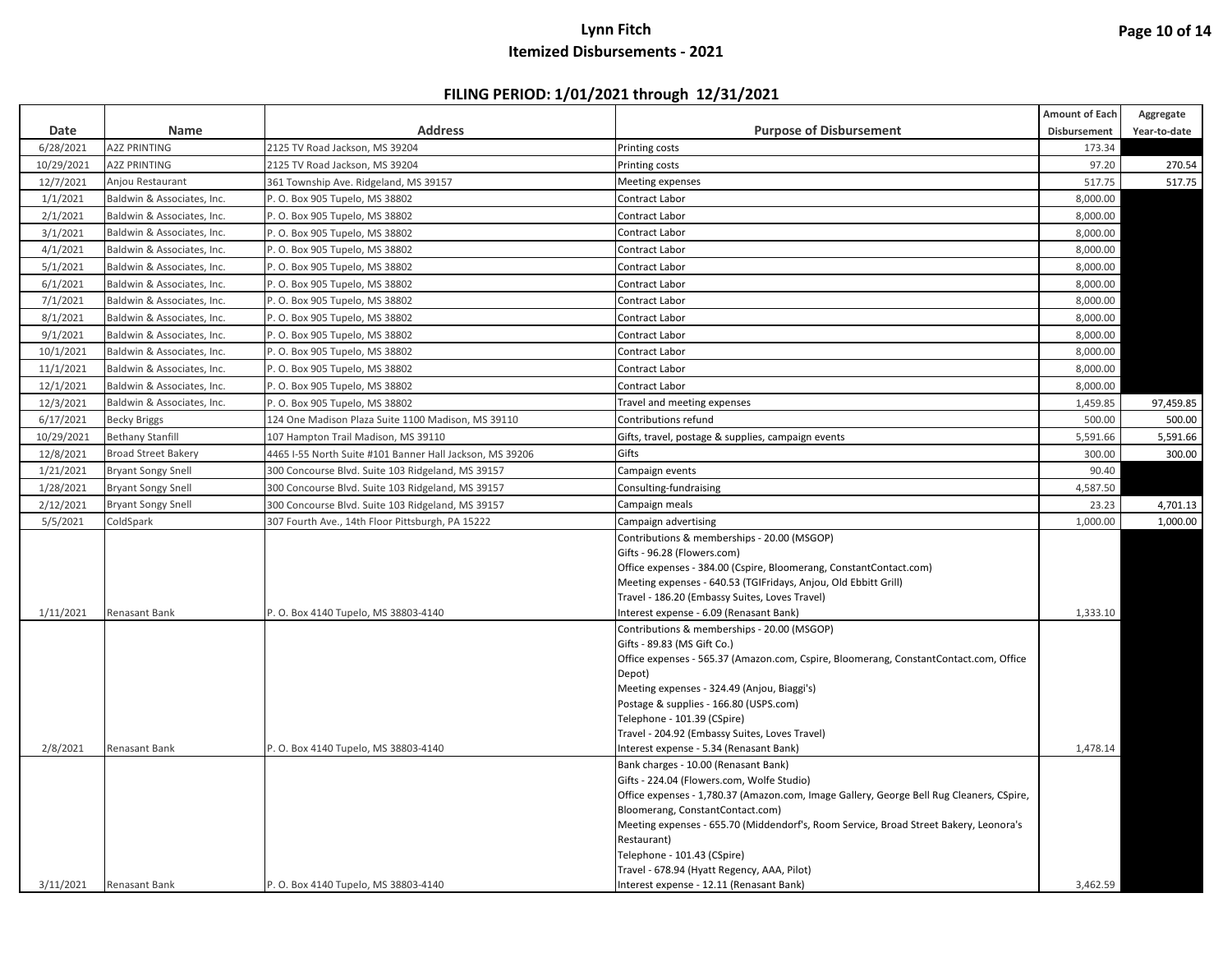|            |                            |                                                          |                                                                                          | Amount of Each | Aggregate    |
|------------|----------------------------|----------------------------------------------------------|------------------------------------------------------------------------------------------|----------------|--------------|
| Date       | Name                       | <b>Address</b>                                           | <b>Purpose of Disbursement</b>                                                           | Disbursement   | Year-to-date |
| 6/28/2021  | <b>A2Z PRINTING</b>        | 2125 TV Road Jackson, MS 39204                           | Printing costs                                                                           | 173.34         |              |
| 10/29/2021 | <b>A2Z PRINTING</b>        | 2125 TV Road Jackson, MS 39204                           | Printing costs                                                                           | 97.20          | 270.54       |
| 12/7/2021  | Anjou Restaurant           | 361 Township Ave. Ridgeland, MS 39157                    | <b>Meeting expenses</b>                                                                  | 517.75         | 517.75       |
| 1/1/2021   | Baldwin & Associates, Inc. | P. O. Box 905 Tupelo, MS 38802                           | <b>Contract Labor</b>                                                                    | 8,000.00       |              |
| 2/1/2021   | Baldwin & Associates, Inc. | P. O. Box 905 Tupelo, MS 38802                           | <b>Contract Labor</b>                                                                    | 8,000.00       |              |
| 3/1/2021   | Baldwin & Associates, Inc. | P. O. Box 905 Tupelo, MS 38802                           | Contract Labor                                                                           | 8,000.00       |              |
| 4/1/2021   | Baldwin & Associates, Inc. | P. O. Box 905 Tupelo, MS 38802                           | Contract Labor                                                                           | 8,000.00       |              |
| 5/1/2021   | Baldwin & Associates, Inc. | P. O. Box 905 Tupelo, MS 38802                           | <b>Contract Labor</b>                                                                    | 8,000.00       |              |
| 6/1/2021   | Baldwin & Associates, Inc. | P. O. Box 905 Tupelo, MS 38802                           | <b>Contract Labor</b>                                                                    | 8,000.00       |              |
| 7/1/2021   | Baldwin & Associates, Inc. | P. O. Box 905 Tupelo, MS 38802                           | Contract Labor                                                                           | 8,000.00       |              |
| 8/1/2021   | Baldwin & Associates, Inc. | P. O. Box 905 Tupelo, MS 38802                           | <b>Contract Labor</b>                                                                    | 8,000.00       |              |
| 9/1/2021   | Baldwin & Associates, Inc. | P. O. Box 905 Tupelo, MS 38802                           | <b>Contract Labor</b>                                                                    | 8,000.00       |              |
| 10/1/2021  | Baldwin & Associates, Inc. | P. O. Box 905 Tupelo, MS 38802                           | Contract Labor                                                                           | 8,000.00       |              |
| 11/1/2021  | Baldwin & Associates, Inc. | P. O. Box 905 Tupelo, MS 38802                           | Contract Labor                                                                           | 8,000.00       |              |
| 12/1/2021  | Baldwin & Associates, Inc. | P. O. Box 905 Tupelo, MS 38802                           | <b>Contract Labor</b>                                                                    | 8,000.00       |              |
| 12/3/2021  | Baldwin & Associates, Inc. | P. O. Box 905 Tupelo, MS 38802                           | Travel and meeting expenses                                                              | 1,459.85       | 97,459.85    |
| 6/17/2021  | <b>Becky Briggs</b>        | 124 One Madison Plaza Suite 1100 Madison, MS 39110       | Contributions refund                                                                     | 500.00         | 500.00       |
| 10/29/2021 | <b>Bethany Stanfill</b>    | 107 Hampton Trail Madison, MS 39110                      | Gifts, travel, postage & supplies, campaign events                                       | 5,591.66       | 5,591.66     |
| 12/8/2021  | <b>Broad Street Bakery</b> | 4465 I-55 North Suite #101 Banner Hall Jackson, MS 39206 | Gifts                                                                                    | 300.00         | 300.00       |
| 1/21/2021  | <b>Bryant Songy Snell</b>  | 300 Concourse Blvd. Suite 103 Ridgeland, MS 39157        | Campaign events                                                                          | 90.40          |              |
| 1/28/2021  | <b>Bryant Songy Snell</b>  | 300 Concourse Blvd. Suite 103 Ridgeland, MS 39157        | Consulting-fundraising                                                                   | 4,587.50       |              |
| 2/12/2021  | <b>Bryant Songy Snell</b>  | 300 Concourse Blvd. Suite 103 Ridgeland, MS 39157        | Campaign meals                                                                           | 23.23          | 4,701.13     |
| 5/5/2021   | ColdSpark                  | 307 Fourth Ave., 14th Floor Pittsburgh, PA 15222         | Campaign advertising                                                                     | 1,000.00       | 1,000.00     |
|            |                            |                                                          | Contributions & memberships - 20.00 (MSGOP)                                              |                |              |
|            |                            |                                                          | Gifts - 96.28 (Flowers.com)                                                              |                |              |
|            |                            |                                                          | Office expenses - 384.00 (Cspire, Bloomerang, ConstantContact.com)                       |                |              |
|            |                            |                                                          | Meeting expenses - 640.53 (TGIFridays, Anjou, Old Ebbitt Grill)                          |                |              |
|            |                            |                                                          | Travel - 186.20 (Embassy Suites, Loves Travel)                                           |                |              |
| 1/11/2021  | Renasant Bank              | P. O. Box 4140 Tupelo, MS 38803-4140                     | Interest expense - 6.09 (Renasant Bank)                                                  | 1,333.10       |              |
|            |                            |                                                          | Contributions & memberships - 20.00 (MSGOP)<br>Gifts - 89.83 (MS Gift Co.)               |                |              |
|            |                            |                                                          | Office expenses - 565.37 (Amazon.com, Cspire, Bloomerang, ConstantContact.com, Office    |                |              |
|            |                            |                                                          | Depot)                                                                                   |                |              |
|            |                            |                                                          | Meeting expenses - 324.49 (Anjou, Biaggi's)                                              |                |              |
|            |                            |                                                          | Postage & supplies - 166.80 (USPS.com)                                                   |                |              |
|            |                            |                                                          | Telephone - 101.39 (CSpire)                                                              |                |              |
|            |                            |                                                          | Travel - 204.92 (Embassy Suites, Loves Travel)                                           |                |              |
| 2/8/2021   | Renasant Bank              | P. O. Box 4140 Tupelo, MS 38803-4140                     | Interest expense - 5.34 (Renasant Bank)                                                  | 1,478.14       |              |
|            |                            |                                                          | Bank charges - 10.00 (Renasant Bank)                                                     |                |              |
|            |                            |                                                          | Gifts - 224.04 (Flowers.com, Wolfe Studio)                                               |                |              |
|            |                            |                                                          | Office expenses - 1,780.37 (Amazon.com, Image Gallery, George Bell Rug Cleaners, CSpire, |                |              |
|            |                            |                                                          | Bloomerang, ConstantContact.com)                                                         |                |              |
|            |                            |                                                          | Meeting expenses - 655.70 (Middendorf's, Room Service, Broad Street Bakery, Leonora's    |                |              |
|            |                            |                                                          | Restaurant)                                                                              |                |              |
|            |                            |                                                          | Telephone - 101.43 (CSpire)                                                              |                |              |
|            |                            |                                                          | Travel - 678.94 (Hyatt Regency, AAA, Pilot)                                              |                |              |
| 3/11/2021  | Renasant Bank              | P. O. Box 4140 Tupelo, MS 38803-4140                     | Interest expense - 12.11 (Renasant Bank)                                                 | 3,462.59       |              |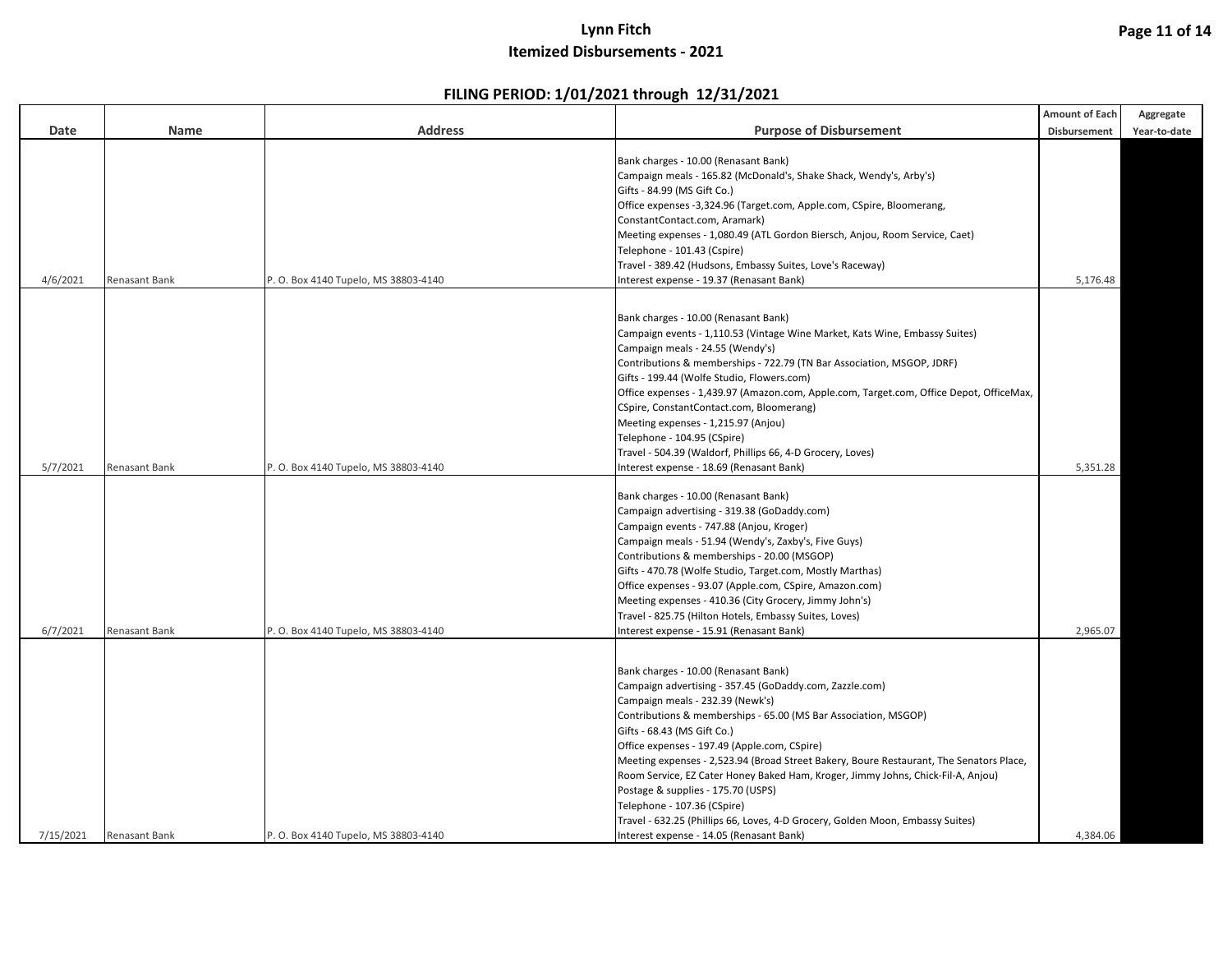|           |                      |                                      |                                                                                         | Amount of Each | Aggregate    |
|-----------|----------------------|--------------------------------------|-----------------------------------------------------------------------------------------|----------------|--------------|
| Date      | Name                 | <b>Address</b>                       | <b>Purpose of Disbursement</b>                                                          | Disbursement   | Year-to-date |
|           |                      |                                      |                                                                                         |                |              |
|           |                      |                                      | Bank charges - 10.00 (Renasant Bank)                                                    |                |              |
|           |                      |                                      | Campaign meals - 165.82 (McDonald's, Shake Shack, Wendy's, Arby's)                      |                |              |
|           |                      |                                      | Gifts - 84.99 (MS Gift Co.)                                                             |                |              |
|           |                      |                                      | Office expenses -3,324.96 (Target.com, Apple.com, CSpire, Bloomerang,                   |                |              |
|           |                      |                                      | ConstantContact.com, Aramark)                                                           |                |              |
|           |                      |                                      | Meeting expenses - 1,080.49 (ATL Gordon Biersch, Anjou, Room Service, Caet)             |                |              |
|           |                      |                                      | Telephone - 101.43 (Cspire)                                                             |                |              |
|           |                      |                                      | Travel - 389.42 (Hudsons, Embassy Suites, Love's Raceway)                               |                |              |
| 4/6/2021  | <b>Renasant Bank</b> | P. O. Box 4140 Tupelo, MS 38803-4140 | Interest expense - 19.37 (Renasant Bank)                                                | 5,176.48       |              |
|           |                      |                                      |                                                                                         |                |              |
|           |                      |                                      |                                                                                         |                |              |
|           |                      |                                      | Bank charges - 10.00 (Renasant Bank)                                                    |                |              |
|           |                      |                                      | Campaign events - 1,110.53 (Vintage Wine Market, Kats Wine, Embassy Suites)             |                |              |
|           |                      |                                      | Campaign meals - 24.55 (Wendy's)                                                        |                |              |
|           |                      |                                      | Contributions & memberships - 722.79 (TN Bar Association, MSGOP, JDRF)                  |                |              |
|           |                      |                                      | Gifts - 199.44 (Wolfe Studio, Flowers.com)                                              |                |              |
|           |                      |                                      | Office expenses - 1,439.97 (Amazon.com, Apple.com, Target.com, Office Depot, OfficeMax, |                |              |
|           |                      |                                      | CSpire, ConstantContact.com, Bloomerang)                                                |                |              |
|           |                      |                                      | Meeting expenses - 1,215.97 (Anjou)                                                     |                |              |
|           |                      |                                      | Telephone - 104.95 (CSpire)                                                             |                |              |
|           |                      |                                      | Travel - 504.39 (Waldorf, Phillips 66, 4-D Grocery, Loves)                              |                |              |
| 5/7/2021  | Renasant Bank        | P. O. Box 4140 Tupelo, MS 38803-4140 | Interest expense - 18.69 (Renasant Bank)                                                | 5,351.28       |              |
|           |                      |                                      |                                                                                         |                |              |
|           |                      |                                      | Bank charges - 10.00 (Renasant Bank)                                                    |                |              |
|           |                      |                                      | Campaign advertising - 319.38 (GoDaddy.com)                                             |                |              |
|           |                      |                                      | Campaign events - 747.88 (Anjou, Kroger)                                                |                |              |
|           |                      |                                      | Campaign meals - 51.94 (Wendy's, Zaxby's, Five Guys)                                    |                |              |
|           |                      |                                      | Contributions & memberships - 20.00 (MSGOP)                                             |                |              |
|           |                      |                                      |                                                                                         |                |              |
|           |                      |                                      | Gifts - 470.78 (Wolfe Studio, Target.com, Mostly Marthas)                               |                |              |
|           |                      |                                      | Office expenses - 93.07 (Apple.com, CSpire, Amazon.com)                                 |                |              |
|           |                      |                                      | Meeting expenses - 410.36 (City Grocery, Jimmy John's)                                  |                |              |
|           |                      |                                      | Travel - 825.75 (Hilton Hotels, Embassy Suites, Loves)                                  |                |              |
| 6/7/2021  | <b>Renasant Bank</b> | P. O. Box 4140 Tupelo, MS 38803-4140 | Interest expense - 15.91 (Renasant Bank)                                                | 2,965.07       |              |
|           |                      |                                      |                                                                                         |                |              |
|           |                      |                                      | Bank charges - 10.00 (Renasant Bank)                                                    |                |              |
|           |                      |                                      | Campaign advertising - 357.45 (GoDaddy.com, Zazzle.com)                                 |                |              |
|           |                      |                                      |                                                                                         |                |              |
|           |                      |                                      | Campaign meals - 232.39 (Newk's)                                                        |                |              |
|           |                      |                                      | Contributions & memberships - 65.00 (MS Bar Association, MSGOP)                         |                |              |
|           |                      |                                      | Gifts - 68.43 (MS Gift Co.)                                                             |                |              |
|           |                      |                                      | Office expenses - 197.49 (Apple.com, CSpire)                                            |                |              |
|           |                      |                                      | Meeting expenses - 2,523.94 (Broad Street Bakery, Boure Restaurant, The Senators Place, |                |              |
|           |                      |                                      | Room Service, EZ Cater Honey Baked Ham, Kroger, Jimmy Johns, Chick-Fil-A, Anjou)        |                |              |
|           |                      |                                      | Postage & supplies - 175.70 (USPS)                                                      |                |              |
|           |                      |                                      | Telephone - 107.36 (CSpire)                                                             |                |              |
|           |                      |                                      | Travel - 632.25 (Phillips 66, Loves, 4-D Grocery, Golden Moon, Embassy Suites)          |                |              |
| 7/15/2021 | Renasant Bank        | P. O. Box 4140 Tupelo, MS 38803-4140 | Interest expense - 14.05 (Renasant Bank)                                                | 4,384.06       |              |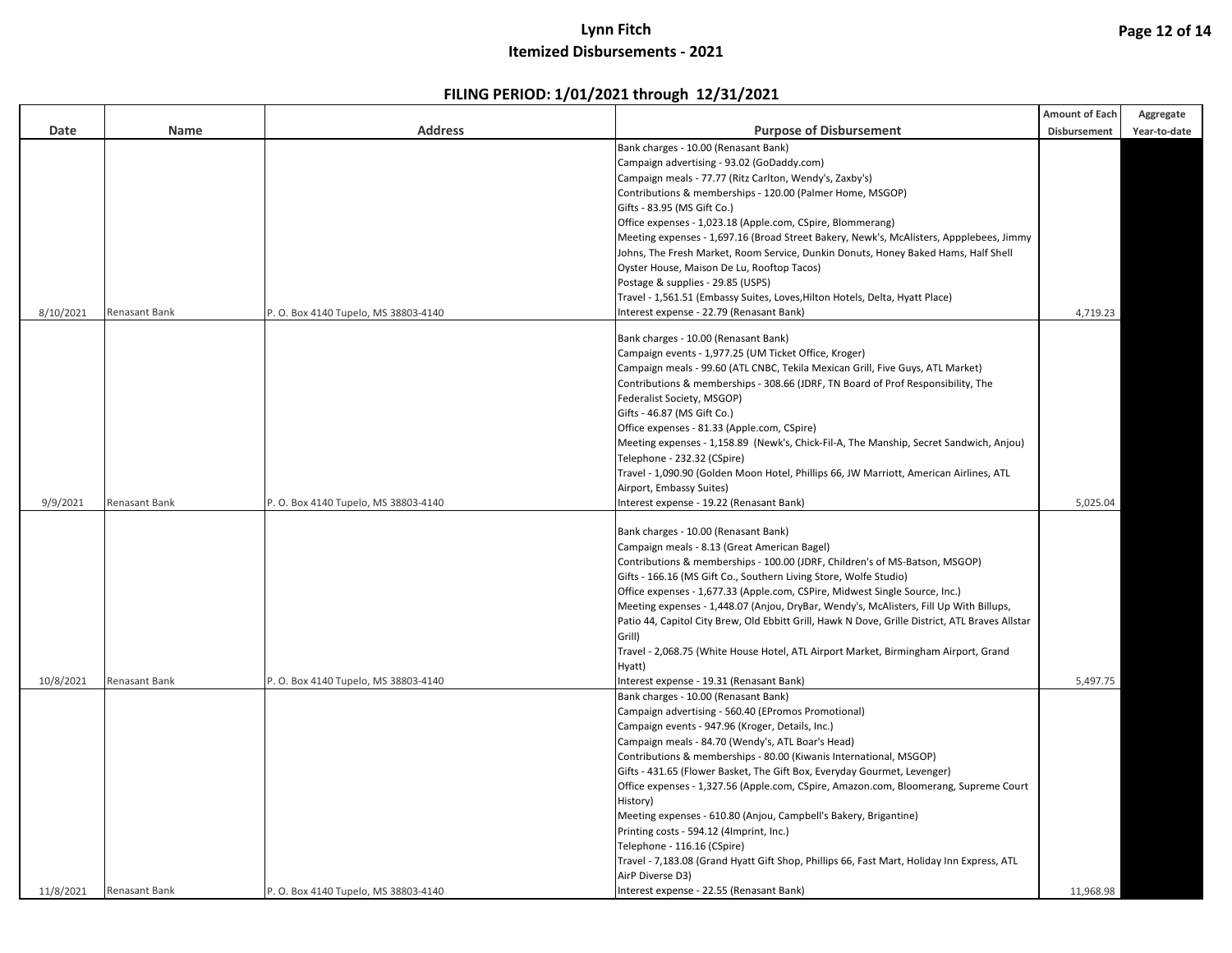|           |                      |                                      |                                                                                                 | Amount of Each | Aggregate    |
|-----------|----------------------|--------------------------------------|-------------------------------------------------------------------------------------------------|----------------|--------------|
| Date      | Name                 | <b>Address</b>                       | <b>Purpose of Disbursement</b>                                                                  | Disbursement   | Year-to-date |
|           |                      |                                      | Bank charges - 10.00 (Renasant Bank)                                                            |                |              |
|           |                      |                                      | Campaign advertising - 93.02 (GoDaddy.com)                                                      |                |              |
|           |                      |                                      | Campaign meals - 77.77 (Ritz Carlton, Wendy's, Zaxby's)                                         |                |              |
|           |                      |                                      | Contributions & memberships - 120.00 (Palmer Home, MSGOP)                                       |                |              |
|           |                      |                                      | Gifts - 83.95 (MS Gift Co.)                                                                     |                |              |
|           |                      |                                      | Office expenses - 1,023.18 (Apple.com, CSpire, Blommerang)                                      |                |              |
|           |                      |                                      | Meeting expenses - 1,697.16 (Broad Street Bakery, Newk's, McAlisters, Appplebees, Jimmy         |                |              |
|           |                      |                                      | Johns, The Fresh Market, Room Service, Dunkin Donuts, Honey Baked Hams, Half Shell              |                |              |
|           |                      |                                      | Oyster House, Maison De Lu, Rooftop Tacos)                                                      |                |              |
|           |                      |                                      | Postage & supplies - 29.85 (USPS)                                                               |                |              |
|           |                      |                                      | Travel - 1,561.51 (Embassy Suites, Loves, Hilton Hotels, Delta, Hyatt Place)                    |                |              |
| 8/10/2021 | Renasant Bank        | P. O. Box 4140 Tupelo, MS 38803-4140 | Interest expense - 22.79 (Renasant Bank)                                                        | 4,719.23       |              |
|           |                      |                                      |                                                                                                 |                |              |
|           |                      |                                      | Bank charges - 10.00 (Renasant Bank)                                                            |                |              |
|           |                      |                                      | Campaign events - 1,977.25 (UM Ticket Office, Kroger)                                           |                |              |
|           |                      |                                      | Campaign meals - 99.60 (ATL CNBC, Tekila Mexican Grill, Five Guys, ATL Market)                  |                |              |
|           |                      |                                      | Contributions & memberships - 308.66 (JDRF, TN Board of Prof Responsibility, The                |                |              |
|           |                      |                                      | Federalist Society, MSGOP)                                                                      |                |              |
|           |                      |                                      | Gifts - 46.87 (MS Gift Co.)                                                                     |                |              |
|           |                      |                                      | Office expenses - 81.33 (Apple.com, CSpire)                                                     |                |              |
|           |                      |                                      | Meeting expenses - 1,158.89 (Newk's, Chick-Fil-A, The Manship, Secret Sandwich, Anjou)          |                |              |
|           |                      |                                      | Telephone - 232.32 (CSpire)                                                                     |                |              |
|           |                      |                                      | Travel - 1,090.90 (Golden Moon Hotel, Phillips 66, JW Marriott, American Airlines, ATL          |                |              |
|           |                      |                                      | Airport, Embassy Suites)                                                                        |                |              |
| 9/9/2021  | Renasant Bank        | P. O. Box 4140 Tupelo, MS 38803-4140 | Interest expense - 19.22 (Renasant Bank)                                                        | 5,025.04       |              |
|           |                      |                                      |                                                                                                 |                |              |
|           |                      |                                      | Bank charges - 10.00 (Renasant Bank)                                                            |                |              |
|           |                      |                                      | Campaign meals - 8.13 (Great American Bagel)                                                    |                |              |
|           |                      |                                      | Contributions & memberships - 100.00 (JDRF, Children's of MS-Batson, MSGOP)                     |                |              |
|           |                      |                                      | Gifts - 166.16 (MS Gift Co., Southern Living Store, Wolfe Studio)                               |                |              |
|           |                      |                                      | Office expenses - 1,677.33 (Apple.com, CSPire, Midwest Single Source, Inc.)                     |                |              |
|           |                      |                                      | Meeting expenses - 1,448.07 (Anjou, DryBar, Wendy's, McAlisters, Fill Up With Billups,          |                |              |
|           |                      |                                      | Patio 44, Capitol City Brew, Old Ebbitt Grill, Hawk N Dove, Grille District, ATL Braves Allstar |                |              |
|           |                      |                                      | Grill)                                                                                          |                |              |
|           |                      |                                      | Travel - 2,068.75 (White House Hotel, ATL Airport Market, Birmingham Airport, Grand             |                |              |
|           |                      |                                      | Hyatt)                                                                                          |                |              |
| 10/8/2021 | Renasant Bank        | P. O. Box 4140 Tupelo, MS 38803-4140 | nterest expense - 19.31 (Renasant Bank)                                                         | 5,497.75       |              |
|           |                      |                                      | Bank charges - 10.00 (Renasant Bank)                                                            |                |              |
|           |                      |                                      | Campaign advertising - 560.40 (EPromos Promotional)                                             |                |              |
|           |                      |                                      | Campaign events - 947.96 (Kroger, Details, Inc.)                                                |                |              |
|           |                      |                                      | Campaign meals - 84.70 (Wendy's, ATL Boar's Head)                                               |                |              |
|           |                      |                                      | Contributions & memberships - 80.00 (Kiwanis International, MSGOP)                              |                |              |
|           |                      |                                      | Gifts - 431.65 (Flower Basket, The Gift Box, Everyday Gourmet, Levenger)                        |                |              |
|           |                      |                                      | Office expenses - 1,327.56 (Apple.com, CSpire, Amazon.com, Bloomerang, Supreme Court            |                |              |
|           |                      |                                      | History)                                                                                        |                |              |
|           |                      |                                      | Meeting expenses - 610.80 (Anjou, Campbell's Bakery, Brigantine)                                |                |              |
|           |                      |                                      | Printing costs - 594.12 (4Imprint, Inc.)                                                        |                |              |
|           |                      |                                      | Telephone - 116.16 (CSpire)                                                                     |                |              |
|           |                      |                                      | Travel - 7,183.08 (Grand Hyatt Gift Shop, Phillips 66, Fast Mart, Holiday Inn Express, ATL      |                |              |
|           |                      |                                      | AirP Diverse D3)                                                                                |                |              |
|           |                      |                                      |                                                                                                 |                |              |
| 11/8/2021 | <b>Renasant Bank</b> | P. O. Box 4140 Tupelo, MS 38803-4140 | Interest expense - 22.55 (Renasant Bank)                                                        | 11,968.98      |              |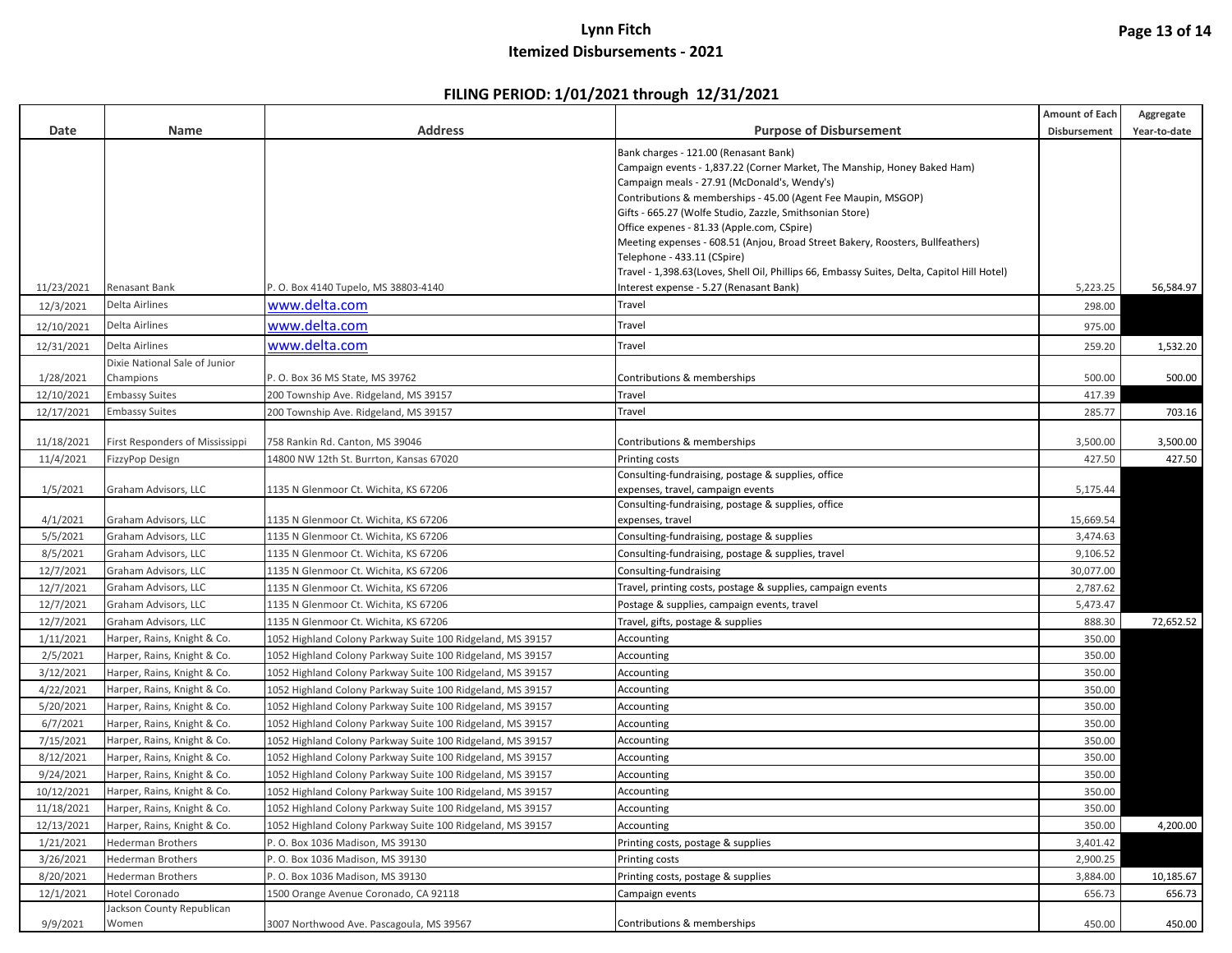|            |                                 |                                                            |                                                                                             | <b>Amount of Each</b> | Aggregate    |
|------------|---------------------------------|------------------------------------------------------------|---------------------------------------------------------------------------------------------|-----------------------|--------------|
| Date       | Name                            | <b>Address</b>                                             | <b>Purpose of Disbursement</b>                                                              | Disbursement          | Year-to-date |
|            |                                 |                                                            | Bank charges - 121.00 (Renasant Bank)                                                       |                       |              |
|            |                                 |                                                            | Campaign events - 1,837.22 (Corner Market, The Manship, Honey Baked Ham)                    |                       |              |
|            |                                 |                                                            | Campaign meals - 27.91 (McDonald's, Wendy's)                                                |                       |              |
|            |                                 |                                                            | Contributions & memberships - 45.00 (Agent Fee Maupin, MSGOP)                               |                       |              |
|            |                                 |                                                            | Gifts - 665.27 (Wolfe Studio, Zazzle, Smithsonian Store)                                    |                       |              |
|            |                                 |                                                            | Office expenes - 81.33 (Apple.com, CSpire)                                                  |                       |              |
|            |                                 |                                                            | Meeting expenses - 608.51 (Anjou, Broad Street Bakery, Roosters, Bullfeathers)              |                       |              |
|            |                                 |                                                            | Telephone - 433.11 (CSpire)                                                                 |                       |              |
|            |                                 |                                                            | Travel - 1,398.63(Loves, Shell Oil, Phillips 66, Embassy Suites, Delta, Capitol Hill Hotel) |                       |              |
| 11/23/2021 | Renasant Bank<br>Delta Airlines | 0. Box 4140 Tupelo, MS 38803-4140                          | Interest expense - 5.27 (Renasant Bank)                                                     | 5,223.25              | 56,584.97    |
| 12/3/2021  |                                 | www.delta.com                                              | Travel                                                                                      | 298.00                |              |
| 12/10/2021 | Delta Airlines                  | www.delta.com                                              | Travel                                                                                      | 975.00                |              |
| 12/31/2021 | Delta Airlines                  | www.delta.com                                              | Travel                                                                                      | 259.20                | 1,532.20     |
|            | Dixie National Sale of Junior   |                                                            |                                                                                             |                       |              |
| 1/28/2021  | Champions                       | P. O. Box 36 MS State, MS 39762                            | Contributions & memberships                                                                 | 500.00                | 500.00       |
| 12/10/2021 | <b>Embassy Suites</b>           | 200 Township Ave. Ridgeland, MS 39157                      | Travel                                                                                      | 417.39                |              |
| 12/17/2021 | <b>Embassy Suites</b>           | 200 Township Ave. Ridgeland, MS 39157                      | Travel                                                                                      | 285.77                | 703.16       |
| 11/18/2021 | First Responders of Mississippi | 758 Rankin Rd. Canton, MS 39046                            | Contributions & memberships                                                                 | 3,500.00              | 3,500.00     |
| 11/4/2021  | FizzyPop Design                 | 14800 NW 12th St. Burrton, Kansas 67020                    | Printing costs                                                                              | 427.50                | 427.50       |
|            |                                 |                                                            | Consulting-fundraising, postage & supplies, office                                          |                       |              |
| 1/5/2021   | Graham Advisors, LLC            | 1135 N Glenmoor Ct. Wichita, KS 67206                      | expenses, travel, campaign events                                                           | 5,175.44              |              |
|            |                                 |                                                            | Consulting-fundraising, postage & supplies, office                                          |                       |              |
| 4/1/2021   | Graham Advisors, LLC            | 1135 N Glenmoor Ct. Wichita, KS 67206                      | expenses, travel                                                                            | 15,669.54             |              |
| 5/5/2021   | Graham Advisors, LLC            | 1135 N Glenmoor Ct. Wichita, KS 67206                      | Consulting-fundraising, postage & supplies                                                  | 3,474.63              |              |
| 8/5/2021   | Graham Advisors, LLC            | 1135 N Glenmoor Ct. Wichita, KS 67206                      | Consulting-fundraising, postage & supplies, travel                                          | 9,106.52              |              |
| 12/7/2021  | Graham Advisors, LLC            | 1135 N Glenmoor Ct. Wichita, KS 67206                      | Consulting-fundraising                                                                      | 30,077.00             |              |
| 12/7/2021  | Graham Advisors, LLC            | 1135 N Glenmoor Ct. Wichita, KS 67206                      | Travel, printing costs, postage & supplies, campaign events                                 | 2,787.62              |              |
| 12/7/2021  | Graham Advisors, LLC            | 1135 N Glenmoor Ct. Wichita, KS 67206                      | Postage & supplies, campaign events, travel                                                 | 5,473.47              |              |
| 12/7/2021  | Graham Advisors, LLC            | 1135 N Glenmoor Ct. Wichita, KS 67206                      | Travel, gifts, postage & supplies                                                           | 888.30                | 72,652.52    |
| 1/11/2021  | Harper, Rains, Knight & Co.     | 1052 Highland Colony Parkway Suite 100 Ridgeland, MS 39157 | Accounting                                                                                  | 350.00                |              |
| 2/5/2021   | Harper, Rains, Knight & Co.     | 1052 Highland Colony Parkway Suite 100 Ridgeland, MS 39157 | Accounting                                                                                  | 350.00                |              |
| 3/12/2021  | Harper, Rains, Knight & Co.     | 1052 Highland Colony Parkway Suite 100 Ridgeland, MS 39157 | Accounting                                                                                  | 350.00                |              |
| 4/22/2021  | Harper, Rains, Knight & Co.     | 1052 Highland Colony Parkway Suite 100 Ridgeland, MS 39157 | Accounting                                                                                  | 350.00                |              |
| 5/20/2021  | Harper, Rains, Knight & Co.     | 1052 Highland Colony Parkway Suite 100 Ridgeland, MS 39157 | Accounting                                                                                  | 350.00                |              |
| 6/7/2021   | Harper, Rains, Knight & Co.     | 1052 Highland Colony Parkway Suite 100 Ridgeland, MS 39157 | Accounting                                                                                  | 350.00                |              |
| 7/15/2021  | Harper, Rains, Knight & Co.     | 1052 Highland Colony Parkway Suite 100 Ridgeland, MS 39157 | Accounting                                                                                  | 350.00                |              |
| 8/12/2021  | Harper, Rains, Knight & Co.     | 1052 Highland Colony Parkway Suite 100 Ridgeland, MS 39157 | Accounting                                                                                  | 350.00                |              |
| 9/24/2021  | Harper, Rains, Knight & Co.     | 1052 Highland Colony Parkway Suite 100 Ridgeland, MS 39157 | Accounting                                                                                  | 350.00                |              |
| 10/12/2021 | Harper, Rains, Knight & Co.     | 1052 Highland Colony Parkway Suite 100 Ridgeland, MS 39157 | Accounting                                                                                  | 350.00                |              |
| 11/18/2021 | Harper, Rains, Knight & Co.     | 1052 Highland Colony Parkway Suite 100 Ridgeland, MS 39157 | Accounting                                                                                  | 350.00                |              |
| 12/13/2021 | Harper, Rains, Knight & Co.     | 1052 Highland Colony Parkway Suite 100 Ridgeland, MS 39157 | Accounting                                                                                  | 350.00                | 4,200.00     |
| 1/21/2021  | <b>Hederman Brothers</b>        | P. O. Box 1036 Madison, MS 39130                           | Printing costs, postage & supplies                                                          | 3,401.42              |              |
| 3/26/2021  | <b>Hederman Brothers</b>        | P. O. Box 1036 Madison, MS 39130                           | Printing costs                                                                              | 2,900.25              |              |
| 8/20/2021  | <b>Hederman Brothers</b>        | P. O. Box 1036 Madison, MS 39130                           | Printing costs, postage & supplies                                                          | 3,884.00              | 10,185.67    |
| 12/1/2021  | <b>Hotel Coronado</b>           | 1500 Orange Avenue Coronado, CA 92118                      | Campaign events                                                                             | 656.73                | 656.73       |
|            | Jackson County Republican       |                                                            |                                                                                             |                       |              |
| 9/9/2021   | Women                           | 3007 Northwood Ave. Pascagoula, MS 39567                   | Contributions & memberships                                                                 | 450.00                | 450.00       |